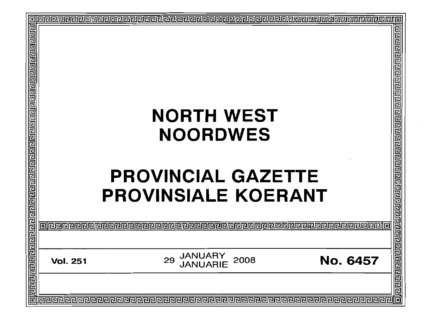| E<br>冠           | <b>NORTH WEST<br/> NOORDWES<br/> PROVINCIAL GAZETTE<br/> PROVINSIALE KOERANT<br/> THE PROVINSIALE KOERANT<br/> THE PROVINSIALE KOERANT<br/> THE PROVINSIALE KOERANT<br/> THE PROVINSIALE ROERANT<br/> THE PROVINSIALE ROERANT<br/> THE PROVINSIALE ROERANT<br/> THE PROV</b> |  |  |
|------------------|------------------------------------------------------------------------------------------------------------------------------------------------------------------------------------------------------------------------------------------------------------------------------|--|--|
| <b>Blaidered</b> |                                                                                                                                                                                                                                                                              |  |  |
| 同同同              |                                                                                                                                                                                                                                                                              |  |  |
|                  |                                                                                                                                                                                                                                                                              |  |  |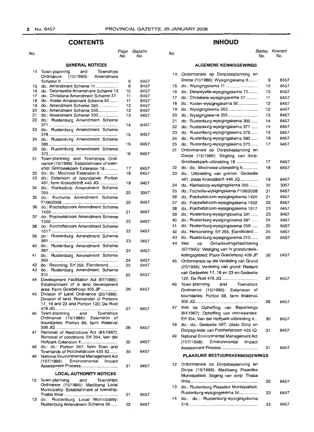# **CONTENTS**

| No.                    |                                                                           | Page<br>No. | Gazette<br>No. |  |  |  |  |
|------------------------|---------------------------------------------------------------------------|-------------|----------------|--|--|--|--|
| <b>GENERAL NOTICES</b> |                                                                           |             |                |  |  |  |  |
| 14                     | Town-planning<br>and<br>Townships                                         |             |                |  |  |  |  |
|                        | Ordinance (15/1986): Amendment                                            |             |                |  |  |  |  |
|                        | do.: Amendment Scheme 11                                                  | 9           | 6457           |  |  |  |  |
| 15                     |                                                                           | 9           | 6457           |  |  |  |  |
| 16                     | do.: Delareyville Amendment Scheme 13                                     | 10          | 6457           |  |  |  |  |
| 17                     | do.: Christiana Amendment Scheme 37.<br>do.: Koster Amendment Scheme 50   | 11          | 6457           |  |  |  |  |
| 18                     |                                                                           | 11          | 6457           |  |  |  |  |
| 19                     | do.: Amendment Scheme 363                                                 | 12          | 6457           |  |  |  |  |
| 20                     | do.: Amendment Scheme 355                                                 | 13          | 6457           |  |  |  |  |
| 21                     | do.: Amendment Scheme 300                                                 | 13          | 6457           |  |  |  |  |
| 22                     | do.: Rustenburg Amendment Scheme                                          |             | 6457           |  |  |  |  |
| 23                     | do.: Rustenburg Amendment Scheme                                          | 14          |                |  |  |  |  |
|                        |                                                                           | 15          | 6457           |  |  |  |  |
| 24                     | do.: Rustenburg Amendment Scheme                                          |             |                |  |  |  |  |
|                        |                                                                           | 15          | 6457           |  |  |  |  |
| 25                     | do.: Rustenburg Amendment Scheme                                          |             |                |  |  |  |  |
|                        |                                                                           | 16          | 6457           |  |  |  |  |
| 31                     | Town-planning and Townships Ordi-                                         |             |                |  |  |  |  |
|                        | nance (15/1986): Establishment of town-                                   |             |                |  |  |  |  |
|                        | ship: Grimbeekpark Extension 18                                           | 17          | 6457           |  |  |  |  |
| 32                     | do.: do.: Mooinooi Extension 6                                            | 18          | 6457           |  |  |  |  |
| 33                     | do.: Extension of boundaries: Portion                                     |             |                |  |  |  |  |
|                        | 461, farm Krokodildrift 446 JQ                                            | 19          | 6457           |  |  |  |  |
| 34                     | do.: Klerksdorp Amendment Scheme                                          |             |                |  |  |  |  |
|                        |                                                                           | 20          | 3057           |  |  |  |  |
| 35                     | Fochville Amendment Scheme<br>do.:                                        |             |                |  |  |  |  |
|                        |                                                                           | 20          | 6457           |  |  |  |  |
| 36                     | do.: Potchefstroom Amendment Scheme                                       |             |                |  |  |  |  |
|                        |                                                                           | 21          | 6457           |  |  |  |  |
| 37                     | do.: Potchefstroom Amendment Scheme                                       |             |                |  |  |  |  |
|                        |                                                                           | 22          | 6457           |  |  |  |  |
| 38                     | do.: Potchefstroom Amendment Scheme                                       |             |                |  |  |  |  |
|                        |                                                                           | 22          | 6457           |  |  |  |  |
| 39                     | do.: Rustenburg Amendment Scheme                                          |             |                |  |  |  |  |
|                        |                                                                           | 23          | 6457           |  |  |  |  |
| 40                     | Rustenburg Amendment Scheme<br>do.:                                       |             |                |  |  |  |  |
|                        |                                                                           | 24          | 6457           |  |  |  |  |
| 41                     | do.: Rustenburg Amendment Scheme                                          |             |                |  |  |  |  |
|                        |                                                                           | 24          | 6457           |  |  |  |  |
| 42                     | do.: Rezoning: Erf 255, Elandsrand                                        | 25          | 6457           |  |  |  |  |
| 43                     | do.: Rustenburg Amendment Scheme                                          |             |                |  |  |  |  |
|                        |                                                                           | 25          | 6457           |  |  |  |  |
| 44                     | Development Facilitation Act (67/1995):                                   |             |                |  |  |  |  |
|                        | Establishment of a land development                                       |             |                |  |  |  |  |
|                        | area: Farm Goedehoop 409 JP                                               | 26          | 6457           |  |  |  |  |
| 45                     | Division of Land Ordinance (20/1986):                                     |             |                |  |  |  |  |
|                        | Division of land: Remainder of Portions                                   |             |                |  |  |  |  |
|                        | 17, 18 and 23 and Portion 120, De Rust                                    |             |                |  |  |  |  |
|                        |                                                                           | 27          | 6457           |  |  |  |  |
| 46                     | Town-planning and Townships                                               |             |                |  |  |  |  |
|                        | Ordinance (15/1986): Extension of                                         |             |                |  |  |  |  |
|                        | boundaries: Portion 98, farm Waterval                                     |             |                |  |  |  |  |
|                        |                                                                           | 28          | 6457           |  |  |  |  |
| 47                     | Removal of Restrictions Act (84/1967):                                    |             |                |  |  |  |  |
|                        | Removal of conditions: Erf 354, Van der                                   |             |                |  |  |  |  |
|                        | Hoffpark Extension 4                                                      | 30          | 6457           |  |  |  |  |
| 48                     | do.: do.: Portion 567, farm Town and<br>Townlands of Potchefstroom 435 IQ | 30          | 6457           |  |  |  |  |
| 49                     | National Environmental Management Act                                     |             |                |  |  |  |  |
|                        | (107/1998): Environmental Impact                                          |             |                |  |  |  |  |
|                        | Assessment Process                                                        |             |                |  |  |  |  |
|                        |                                                                           | 31          | 6457           |  |  |  |  |
|                        | <b>LOCAL AUTHORITY NOTICES</b>                                            |             |                |  |  |  |  |
|                        | 12 Town-planning and<br>Townships                                         |             |                |  |  |  |  |
|                        | Ordinance (15/1986): Madibeng Local                                       |             |                |  |  |  |  |
|                        | Municipality: Establishment of township:                                  |             |                |  |  |  |  |
|                        |                                                                           | 31          | 6457           |  |  |  |  |
|                        |                                                                           |             |                |  |  |  |  |

13 do.: Rustenburg Local Municipality: Rustenburg Amendment Scheme 50...... 32

6457

# **INHOUD**

No. No. No. BJadsy Koerant No. No.

# **ALGEMENE KENNISGEWINGS**

| 14 | Ordonnansie op Dorpsbeplanning en         |    |      |
|----|-------------------------------------------|----|------|
|    | Dorpe (15/1986): Wysigingskema 9          | 9  | 6457 |
| 15 | do.: Wysigingskema 11                     | 10 | 6457 |
| 16 | do.: Delareyville-wysigingskema 13        | 10 | 6457 |
| 17 | do.: Christiana-wysigingskema 37          | 11 | 6457 |
| 18 | do.: Koster-wysigingskema 50              | 12 | 6457 |
| 19 | do.: Wysigingskema 363                    | 12 | 6457 |
| 20 | do.: Wysigingskema 355                    | 13 | 6457 |
| 21 | do.: Rustenburg-wysigingskema 300         | 14 | 6457 |
| 22 | do.: Rustenburg-wysigingskema 371         | 14 | 6457 |
| 23 | do.: Rustenburg-wysigingskema 378         | 15 | 6457 |
| 24 | do.: Rustenburg-wysigingskema 380         | 16 | 6457 |
| 25 | do.: Rustenburg-wysigingskema 373         | 17 | 6457 |
| 31 | Ordonnansie op Dorpsbeplanning en         |    |      |
|    | Dorpe (15/1986): Stigting van dorp:       |    |      |
|    | Grimbeekpark-uitbreiding 18               | 17 | 6457 |
| 32 | do.: do.: Mooinoooi-uitbreiding 6         | 18 | 6457 |
| 33 | do.: Uitbreiding van grense: Gedeelte     |    |      |
|    | 461, plaas Krokodildrift 446 JQ           | 19 | 6457 |
| 34 | do.: Klerksdorp-wysigingskema 355         | 20 | 3057 |
| 35 | do.: Fochville-wysigingskema F106/2008    | 21 | 6457 |
| 36 | do.: Potchefstroom-wysigingskema 1420     | 21 | 6457 |
| 37 | do.: Potchefstroom-wysigingskema 1502     | 22 | 6457 |
| 38 | do.: Potchefstroom-wysigingskema 1517     | 23 | 6457 |
| 39 | do.: Rustenburg-wysigingskema 391         | 23 | 6457 |
| 40 | do.: Rustenburg-wysigingskema 387         | 24 | 6457 |
| 41 | do.: Rustenburg-wysigingskema 359         | 25 | 6457 |
| 42 | do.: Hersonering: Erf 255, Elandsrand     | 25 | 6457 |
| 43 | do.: Rustenburg-wysigingskema 310         | 26 | 6457 |
| 44 | Wet<br>Ontwikkelingsfasilitering<br>op    |    |      |
|    | (67/1995): Vestiging van 'n grondontwik-  |    |      |
|    | kelingsgebied: Plaas Goedehoop 409 JP     | 26 | 6457 |
| 45 | Ordonnansie op die Verdeling van Grond    |    |      |
|    | (20/1986): Verdeling van grond: Restant   |    |      |
|    | van Gedeeltes 17, 18 en 23 en Gedeelte    |    |      |
|    |                                           | 27 | 6457 |
| 46 | Town-planning<br>Townships<br>and         |    |      |
|    | Ordinance (15/1986): Extension<br>of      |    |      |
|    | boundaries: Portion 98, farm Waterval     |    |      |
|    |                                           | 28 | 6457 |
| 47 | Wet op Opheffing van Beperkings           |    |      |
|    | (84/1967): Opheffing van voorwaardes:     |    |      |
|    | Erf 354, Van der Hoffpark-uitbreiding 4   | 30 | 6457 |
| 48 | do.: do.: Gedeelte 567, plaas Dorp en     |    |      |
|    | Dorpsgronde van Potchefstroom 435 IQ      | 31 | 6457 |
| 49 | National Environmental Management Act     |    |      |
|    | Impact                                    |    |      |
|    | $(107/1998)$ :<br>Environmental           |    |      |
|    |                                           | 31 | 6457 |
|    | <b>PLAASLIKE BESTUURSKENNISGEWINGS</b>    |    |      |
| 12 | Ordonnansie op Dorpsbeplanning en         |    |      |
|    | Dorpe (15/1986): Madibeng Plaaslike       |    |      |
|    | Munisipaliteit: Stigting van dorp: Thaba  |    |      |
|    |                                           | 32 | 6457 |
| 13 | do.: Rustenburg Plaaslike Munisipaliteit: |    |      |
|    | Rustenburg-wysigingskema 50               | 33 | 6457 |
| 14 | do.: do.: Rustenburg-wysigingskema        |    |      |
|    |                                           | 33 | 6457 |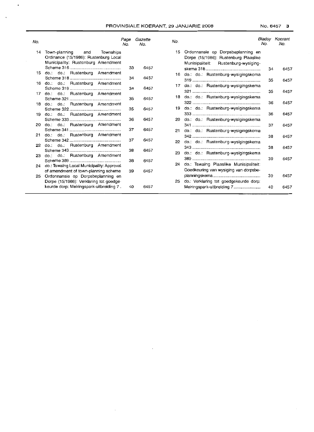$\bullet$ 

 $\ddot{\phantom{0}}$ 

| No. |                                                                                                                  | Page<br>No. | Gazette<br>No. | No.             |                                                                                                                       | Bladsv<br>No. | Koerant<br>No. |
|-----|------------------------------------------------------------------------------------------------------------------|-------------|----------------|-----------------|-----------------------------------------------------------------------------------------------------------------------|---------------|----------------|
| 14  | Town-planning<br>and<br>Townships<br>Ordinance (15/1986): Rustenburg Local<br>Municipality: Rustenburg Amendment |             |                |                 | 15 Ordonnansie op Dorpsbeplanning en<br>Dorpe (15/1986): Rustenburg Plaaslike<br>Munisipaliteit: Rustenburg-wysiging- |               |                |
|     | 15 do.: do.: Rustenburg Amendment                                                                                | 33          | 6457           |                 |                                                                                                                       | 34            | 6457           |
|     |                                                                                                                  | 34          | 6457           |                 | 16 do.: do.: Rustenburg-wysigingskema                                                                                 | 35            | 6457           |
|     | 16 do.: do.: Rustenburg Amendment                                                                                | 34          | 6457           | 17              | do.: do.: Rustenburg-wysigingskema                                                                                    |               |                |
| 17  | do.: do.: Rustenburg Amendment                                                                                   | 35          | 6457           | 18.             | do.: do.: Rustenburg-wysigingskema                                                                                    | 35            | 6457           |
| 18  | do.: do.: Rustenburg Amendment                                                                                   |             |                |                 | 19 do.: do.: Rustenburg-wysigingskema                                                                                 | 36            | 6457           |
| 19. | do.: do.: Rustenburg Amendment                                                                                   | 35          | 6457           |                 |                                                                                                                       | 36            | 6457           |
|     | 20 do.: do.: Rustenburg Amendment                                                                                | 36          | 6457           |                 | 20 do.: do.: Rustenburg-wysigingskema                                                                                 | 37            | 6457           |
|     |                                                                                                                  | 37          | 6457           | 21              | do.: do.: Rustenburg-wysigingskema                                                                                    |               |                |
| 21. | do.: do.: Rustenburg Amendment                                                                                   | 37          | 6457           | 22 <sub>2</sub> | do.: do.: Rustenburg-wysigingskema                                                                                    | 38            | 6457           |
| 22  | do.: do.: Rustenburg Amendment                                                                                   | 38          | 6457           |                 |                                                                                                                       | 38            | 6457           |
| 23. | do.: do.: Rustenburg Amendment                                                                                   |             |                | 23              | do.: do.: Rustenburg-wysigingskema                                                                                    | 39            | 6457           |
|     | 24 do.: Tswaing Local Municipality: Approval                                                                     | 38          | 6457           | 24              | do.: Tswaing Plaaslike Munisipaliteit:                                                                                |               |                |
| 25  | of amendment of town-planning scheme<br>Ordonnansie op Dorpsbeplanning en                                        | 39          | 6457           |                 | Goedkeuring van wysiging van dorpsbe-                                                                                 | 39            | 6457           |
|     | Dorpe (15/1986): Verklaring tot goedge-                                                                          |             |                | 25              | do.: Verklaring tot goedgekeurde dorp:                                                                                |               |                |
|     | keurde dorp: Meiringspark-uitbreiding 7.                                                                         | 40          | 6457           |                 | Meiringspark-uitbreiding 7                                                                                            | 40            | 6457           |

 $\mathcal{A}^{\mathcal{A}}$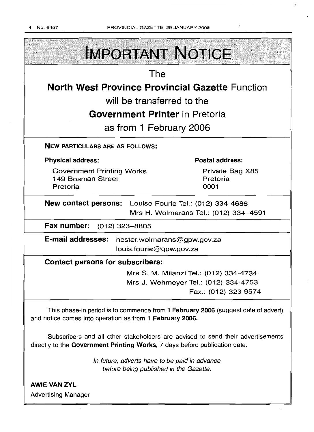

Advertising Manager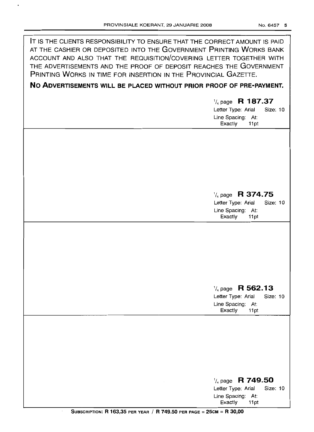$\ddot{\bullet}$ 

| IT IS THE CLIENTS RESPONSIBILITY TO ENSURE THAT THE CORRECT AMOUNT IS PAID<br>AT THE CASHIER OR DEPOSITED INTO THE GOVERNMENT PRINTING WORKS BANK<br>ACCOUNT AND ALSO THAT THE REQUISITION/COVERING LETTER TOGETHER WITH<br>THE ADVERTISEMENTS AND THE PROOF OF DEPOSIT REACHES THE GOVERNMENT<br>PRINTING WORKS IN TIME FOR INSERTION IN THE PROVINCIAL GAZETTE. |                                                                                                       |
|-------------------------------------------------------------------------------------------------------------------------------------------------------------------------------------------------------------------------------------------------------------------------------------------------------------------------------------------------------------------|-------------------------------------------------------------------------------------------------------|
| NO ADVERTISEMENTS WILL BE PLACED WITHOUT PRIOR PROOF OF PRE-PAYMENT.                                                                                                                                                                                                                                                                                              |                                                                                                       |
|                                                                                                                                                                                                                                                                                                                                                                   | $\frac{1}{4}$ page R 187.37<br>Letter Type: Arial<br>Size: 10<br>Line Spacing: At:<br>Exactly<br>11pt |
|                                                                                                                                                                                                                                                                                                                                                                   | $\frac{1}{4}$ page R 374.75<br>Letter Type: Arial<br>Size: 10<br>Line Spacing: At:<br>Exactly<br>11pt |
|                                                                                                                                                                                                                                                                                                                                                                   | $\frac{1}{4}$ page R 562.13<br>Letter Type: Arial<br>Size: 10<br>Line Spacing: At:<br>Exactly<br>11pt |
|                                                                                                                                                                                                                                                                                                                                                                   | $\frac{1}{4}$ page R 749.50<br>Letter Type: Arial<br>Size: 10<br>Line Spacing: At:<br>Exactly<br>11pt |

 $\cdot$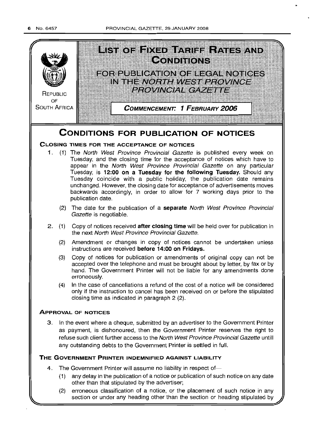PROVINCIAL GAZETTE, 29 JANUARY 2008



(2) erroneous classification of a notice, or the placement of such notice in any section or under any heading other than the section or heading stipulated by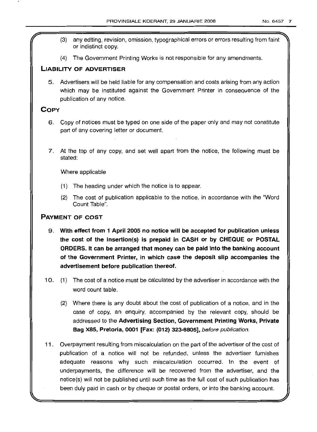- (3) any editing, revision, omission, typographical errors or errors resulting from faint or indistinct copy.
- (4) The Government Printing Works is not responsible for any amendments.

# **LIABILITY OF ADVERTISER**

5. Advertisers will be held liable for any compensation and costs arising from any action which may be instituted against the Government Printer in consequence of the publication of any notice.

# **COpy**

- 6. Copy of notices must be typed on one side of the paper only and may not constitute part of any covering letter or document.
- 7. At the top of any copy, and set well apart from the notice, the following must be stated:

# Where applicable

- (1) The heading under which the notice is to appear.
- (2) The cost of publication applicable to the notice, in accordance with the "Word Count Table".

# **PAYMENT OF COST**

- 9. **With effect from 1 April 2005 no notice will be accepted for publication unless the cost of the insertion(s) is prepaid in CASH or by CHEQUE or POSTAL ORDERS. It can be arranged that money can be paid into the banking account of the Government Printer, in which case the deposit slip accompanies the advertisement before publication thereof.**
- 10. (1) The cost of a notice must be calculated by the advertiser in accordance with the word count table.
	- (2) Where there is any doubt about the cost of publication of a notice, and in the case of copy, an enquiry, accompanied by the relevant copy, should be addressed to the **Advertising Section, Government Printing Works, Private Bag X85, Pretoria, 0001 [Fax: (012) 323-8805],** before publication.
- **11.** Overpayment resulting from miscalculation on the part of the advertiser of the cost of publication of a notice will not be refunded, unless the advertiser furnishes adequate reasons why such miscalculation occurred. In the event of underpayments, the difference will be recovered from the advertiser, and the notice(s) will not be published until such time as the full cost of such publication has been duly paid in cash or by cheque or postal orders, or into the banking account.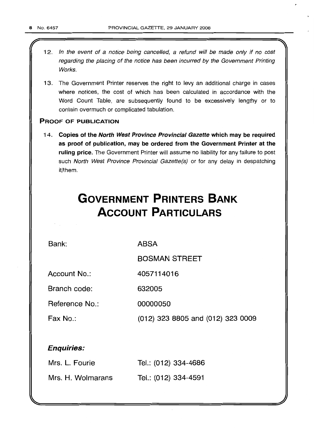- 12. In the event of a notice being cancelled, a refund will be made only if no cost regarding the placing of the notice has been incurred by the Government Printing Works.
- 13. The Government Printer reserves the right to levy an additional charge in cases where notices, the cost of which has been calculated in accordance with the Word Count Table, are subsequently found to be excessively lengthy or to contain overmuch or complicated tabulation.

# PROOF OF PUBLICATION

14. Copies of the North West Province Provincial Gazette which may be required as proof of publication, may be ordered from the Government Printer at the ruling price. The Government Printer will assume no liability for any failure to post such North West Province Provincial Gazette(s) or for any delay in despatching it/them.

# **GOVERNMENT PRINTERS BANK ACCOUNT PARTICULARS**

Bank:

ABSA

BOSMAN STREET

Account No.: 4057114016

Branch code: 632005

Reference No.: 00000050

Fax No.: (012) 323 8805 and (012) 323 0009

# Enquiries:

| Mrs. L. Fourie    | Tel.: (012) 334-4686 |
|-------------------|----------------------|
| Mrs. H. Wolmarans | Tel.: (012) 334-4591 |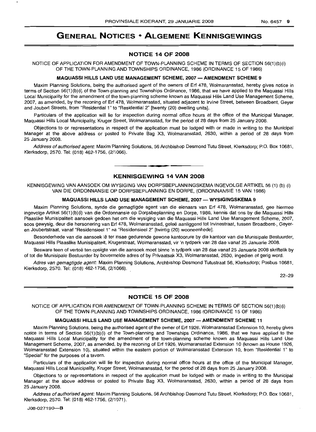# **GENERAL NOTICES • ALGEMENE KENNISGEWINGS**

# **NOTICE 14 OF 2008**

NOTICE OF APPLICATION FOR AMENDMENT OF TOWN-PLANNING SCHEME IN TERMS OF SECTION 56(1)(b)(i) OF THE TOWN-PLANNING AND TOWNSHIPS ORDINANCE, 1986 (ORDINANCE 15 OF 1986)

#### **MAQUASSI HILLS LAND USE MANAGEMENT SCHEME, 2007 - AMENDMENT SCHEME** 9

Maxim Planning Solutions, being the authorised agent of the owners of Erf 478, Wolmaransstad, hereby gives notice in terms of Section 56(1) (b)(i) of the Town-planning and Townships Ordinance, 1986, that we have applied to the Maquassi Hills Local Municipality for the amendment of the town-planning scheme known as Maquassi Hills Land Use Management Scheme, 2007, as amended, by the rezoning of Erf 478, Wolmaransstad, situated adjacent to Irvine Street, between Broadbent, Geyer and Joubert Streets, from "Residential 1" to "Residential 2" [twenty (20) dwelling units].

Particulars of the application will lie for inspection during normal office hours at the office of the Municipal Manager, Maquassi Hills Local Municipality, Kruger Street, Wolmaransstad, for the period of 28 days from 25 January 2008.

Objections to or representations in respect of the application must be lodged with or made in writing to the Municipal Manager at the above address or posted to Private Bag X3, Wolmaransstad, 2630, within a period of 28 days from 25 January 2008.

Address of authorised agent: Maxim Planning Solutions, 56 Archbishop Desmond Tutu Street, Klerksdorp; P.O. Box 10681, Klerksdorp, 2570. Tel: (018) 462-1756, (2/1066).

# **• KENNISGEWING 14 VAN 2008**

KENNISGEWING VAN AANSOEK OM WYSIGING VAN DORPSBEPLANNINGSKEMA INGEVOLGE ARTIKEL 56 (1) (b) (i) VAN DIE ORDONNANSIE OP DORPSBEPLANNING EN DORPE, (ORDONNANSIE 15 VAN 1986)

# **MAQUASSI HILLS LAND USE MANAGEMENT SCHEME, 2007 - WYSIGINGSKEMA** 9

Maxim Planning Solutions, synde die gemagtigde agent van die eienaars van Erf 478, Wolmaransstad, gee hiermee ingevolge Artikel 56(1)(b)(i) van die Ordonnansie op Dorpsbeplanning en Dorpe, 1986, kennis dat ons by die Maquassi Hills Plaaslike Munisipaliteit aansoek gedoen het om die wysiging van die Maquassi Hills Land Use Management Scheme, 2007, soos gewysig, deur die hersonering van Erf 478, Wolmaransstad, geleë aanliggend tot Irvinestraat, tussen Broadbent-, Geyeren Joubertstraat, vanaf "Residensieel 1" na "Residensieel 2" [twintig (20) wooneenhede].

Besonderhede van die aansoek lê ter insae gedurende gewone kantoorure by die kantoor van die Munisipale Bestuurder, Maquassi Hills Plaaslike Munisipaliteit, Krugerstraat, Wolmaransstad, vir 'n tydperk van 28 dae vanaf 25 Januarie 2008.

Besware teen of vertoë ten opsigte van die aansoek moet binne 'n tydperk van 28 dae vanaf 25 Januarie 2008 skriftelik by of tot die Munisipale Bestuurder by bovermelde adres of by Privaatsak X3, Wolmaransstad, 2630, ingedien of gerig word.

Adres van gemagtigde agent: Maxim Planning Solutions, Archbishop Desmond Tutustraat 56, Klerksdorp; Posbus 10681, Klerksdorp, 2570. Tel: (018) 462-1756, (2/1066).

22-29

# **NOTICE 15 OF 2008**

NOTICE OF APPLICATION FOR AMENDMENT OF TOWN-PLANNING SCHEME IN TERMS OF SECTION 56(1)(b)(i) OF THE TOWN-PLANNING AND TOWNSHIPS ORDINANCE, 1986 (ORDINANCE 15 OF 1986)

#### **MAQUASSI HILLS LAND USE MANAGEMENT SCHEME, 2007 - AMENDMENT SCHEME 11**

Maxim Planning Solutions, being the authorised agent of the owner of Erf 1926, Wolmaransstad Extension 10, hereby gives notice in terms of Section 56(1)(b)(i) of the Town-planning and Townships Ordinance, 1986, that we have applied to the Maquassi Hills Local Municipality for the amendment of the town-planning scheme known as Maquassi Hills Land Use Management Scheme, 2007, as amended, by the rezoning of Erf 1926, Wolmaransstad Extension 10 (known as House 1926, Wolmaransstad Extension 10), situated within the eastern portion of Wolmaransstad Extension 10, from "Residential 1" to "Special" for the purposes of a tavern.

Particulars of the application will lie for inspection during normal office hours at the office of the Municipal Manager, Maquassi Hills Local Municipality, Kruger Street, Wolmaransstad, for the period of 28 days from 25 January 2008.

Objections to or representations in respect of the application must be lodged with or made in writing to the Municipal Manager at the above address or posted to Private Bag X3, Wolmaransstad, 2630, within a period of 28 days from 25 January 2008.

Address of authorised agent: Maxim Planning Solutions, 56 Archbishop Desmond Tutu Street, Klerksdorp; P.O. Box 10681, Klerksdorp, 2570. Tel: (018) 462-1756, (2/1071).

 $JOR-027190-$ **B**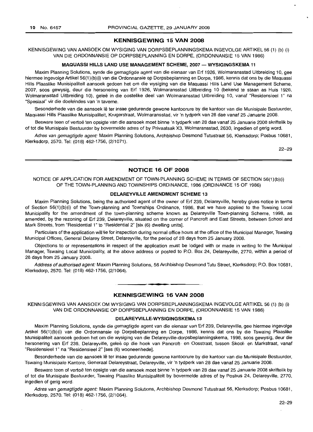## **KENNISGEWING 15 VAN 2008**

KENNISGEWING VAN AANSOEK OM WYSIGING VAN DORPSBEPLANNINGSKEMA INGEVOLGE ARTIKEL 56 (1) (b) (i) VAN DIE ORDONNANSIE OP DORPSBEPLANNING EN DORPE, (ORDONNANSIE 15 VAN 1986)

#### **MAQUASSI HILLS LAND USE MANAGEMENT SCHEME, 2007 - WYSIGINGSKEMA** 11

Maxim Planning Solutions, synde die gemagtigde agent van die eienaar van Erf 1926, Wolmaransstad Uitbreiding 10, gee hiermee ingevolge Artikel 56(1 )(b)(i) van die Ordonnansie op Dorpsbeplanning en Dorpe, 1986, kennis dat ons by die Maquassi Hills Plaaslike Munisipaliteit aansoek gedoen het om die wysiging van die Maquassi Hills Land Use Management Scheme, 2007, soos gewysig, deur die hersonering van Erf 1926, Wolmaransstad Uitbreiding 10 (bekend te staan as Huis 1926, Wolmaransstad Uitbreiding 10), geleë in die oostelike deel van Wolmaransstad Uitbreiding 10, vanaf "Residensieel 1" na "Spesiaal" vir die doeleindes van 'n taverne.

Besonderhede van die aansoek lê ter insae gedurende gewone kantoorure by die kantoor van die Munisipale Bestuurder, Maquassi Hills Plaaslike Munisipaliteit, Krugerstraat, Wolmaransstad, vir 'n tydperk van 28 dae vanaf 25 Januarie 2008.

Besware teen of vertoë ten opsigte van die aansoek moet binne 'n tydperk van 28 dae vanaf 25 Januarie 2008 skriftelik by of tot die Munisipale Bestuurder by bovermelde adres of by Privaatsak X3, Wolmaransstad, 2630, ingedien of gerig word.

Adres van gemagtigde agent: Maxim Planning Solutions, Archbishop Desmond Tutustraat 56, Klerksdorp; Posbus 10681, Klerksdorp, 2570. Tel: (018) 462-1756, (2/1071).

22-29

### **NOTICE 16 OF 2008**

NOTICE OF APPLICATION FOR AMENDMENT OF TOWN-PLANNING SCHEME IN TERMS OF SECTION 56(1)(b)(i) OF THE TOWN-PLANNING AND TOWNSHIPS ORDINANCE, 1986 (ORDINANCE 15 OF 1986)

# **DELAREYVILLE AMENDMENT SCHEME** 13

Maxim Planning Solutions, being the authorised agent of the owner of Erf 239, Delareyville, hereby gives notice in terms of Section 56(1)(b)(i) of the Town-planning and Townships Ordinance, 1986, that we have applied to the Tswaing Local Municipality for the amendment of the town-planning scheme known as Delareyville Town-planning Scheme, 1998, as amended, by the rezoning of Erf 239, Delareyville, situated on the corner of Pancroft and East Streets, between School and Mark Streets, from "Residential 1" to "Residential 2" [six (6) dwelling units].

Particulars of the application will lie for inspection during normal office hours at the office of the Municipal Manager, Tswaing Municipal Offices, General Delarey Street, Delareyville, for the period of 28 days from 25 January 2008.

Objections to or representations in respect of the application must be lodged with or made in writing to the Municipal Manager, Tswaing Local Municipality, at the above address or posted to P.O. Box 24, Delareyville, 2770, within a period of 28 days from 25 January 2008.

Address of authorised agent: Maxim Planning Solutions, 56 Archbishop Desmond Tutu Street, Klerksdorp; P.O. Box 10681, Klerksdorp, 2570. Tel: (018) 462-1756, (2/1064).

.**- .**

# **KENNISGEWING 16 VAN 2008**

KENNISGEWING VAN AANSOEK OM WYSIGING VAN DORPSBEPLANNINGSKEMA INGEVOLGE ARTIKEL 56 (1) (b) (i) VAN DIE ORDONNANSIE OP DORPSBEPLANNING EN DORPE, (ORDONNANSIE 15 VAN 1986)

### **DELAREYVILLE-WYSIGINGSKEMA** 13

Maxim Planning Solutions, synde die gemagtigde agent van die eienaar van Erf 239, Delareyville, gee hiermee ingevolge Artikel 56(1)(b)(i) van die Ordonnansie op Dorpsbeplanning en Dorpe, 1986, kennis dat ons by die Tswaing Plaaslike Munisipaliteit aansoek gedoen het om die wysiging van die Delareyville-dorpsbeplanningskema, 1998, soos gewysig, deur die hersonering van Erf 239, Delareyville, geleë op die hoek van Pancroft- en Oosstraat, tussen Skool- en Markstraat, vanaf "Residensieel 1" na "Residensieel 2" [ses (6) wooneenhede].

Besonderhede van die aansoek lê ter insae gedurende gewone kantoorure by die kantoor van die Munisipale Bestuurder, Tswaing Munisipale Kantore, Generaal Delareystraat, Delareyville, vir 'n tydperk van 28 dae vanaf 25 Januarie 2008.

Besware teen of vertoë ten opsigte van die aansoek moet binne 'n tydperk van 28 dae vanaf 25 Januarie 2008 skriftelik by of tot die Munisipale Bestuurder, Tswaing Plaaslike Munisipaliteit by bovermelde adres of by Posbus 24, Delareyville, 2770, ingedien of gerig word.

Adres van gemagtigde agent: Maxim Planning Solutions, Archbishop Desmond Tutustraat 56, Klerksdorp; Posbus 10681, Klerksdorp, 2570. Tel: (018) 462-1756, (2/1064).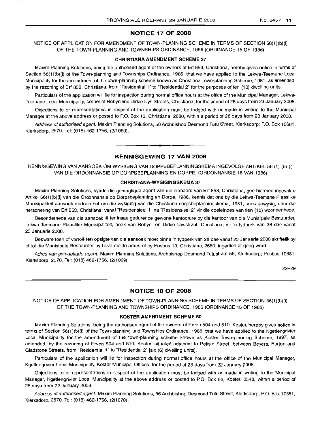# NOTICE 17 OF 2008

NOTICE OF APPLICATION FOR AMENDMENT OF TOWN-PLANNING SCHEME IN TERMS OF SECTION 56(1)(b)(i) OF THE TOWN-PLANNING AND TOWNSHIPS ORDINANCE, 1986 (ORDINANCE 15 OF 1986)

#### CHRISTIANA AMENDMENT SCHEME 37

Maxim Planning Solutions, being the authorised agent of the owners of Erf 853, Christiana, hereby gives notice in terms of Section 56(1)(b)(i) of the Town-planning and Townships Ordinance, 1986, that we have applied to the Lekwa-Teemane Local Municipality for the amendment of the town-planning scheme known as Christiana Town-planning Scheme, 1981, as amended, by the rezoning of Erf 853, Christiana, from "Residential 1" to "Residential 2" for the purposes of ten (10) dwelling units.

Particulars of the application will lie for inspection during normal office hours at the office of the Municipal Manager, Lekwa-Teemane Local Municipality, corner of Robyn and Dirkie Uys Streets, Christiana, for the period of 28 days from 23 January 2008.

Objections to or representations in respect of the application must be lodged with or made in writing to the Municipal Manager at the above address or posted to PO. Box 13, Christiana, 2680, within a period of 28 days from 23 January 2008.

Address of authorised agent: Maxim Planning Solutions, 56 Archbishop Desmond Tutu Street, Klerksdorp; P.O. Box 10681, Klerksdorp, 2570. Tel: (018) 462-1756, (2/1069).

#### KENNISGEWING 17 VAN 2008

**•**

KENNISGEWING VAN AANSOEK OM WYSIGING VAN DORPSBEPLANNINGSKEMA INGEVOLGE ARTIKEL 56 (1) (b) (i) VAN DIE ORDONNANSIE OP DORPSBEPLANNING EN DORPE, (ORDONNANSIE 15 VAN 1986)

#### CHRISTIANA-WYSIGINGSKEMA 37

Maxim Planning Solutions, synde die gemagtigde agent van die eienaars van Erf 853, Christiana, gee hiermee ingevolge Artikel 56(1)(b)(i) van die Ordonnansie op Dorpsbeplanning en Dorpe, 1986, kennis dat ons by die Lekwa-Teemane Plaaslike Munisipaliteit aansoek gedoen het om die wysiging van die Christiana-dorpsbeplanningskema, 1981, soos gewysig, deur die hersonering van Erf 853, Christiana, vanaf "Residensieel 1" na "Residensieel 2" vir die doeleindes van tien (10) wooneenhede.

Besonderhede van die aansoek Ie ter insae gedurende gewone kantoorure by die kantoor van die Munisipale Bestuurder, Lekwa-Teemane Plaaslike Munisipaliteit, hoek van Robyn- en Dirkie Uysstraat, Christiana, vir 'n tydperk van 28 dae vanaf 23 Januarie 2008.

Besware teen of vertoë ten opsigte van die aansoek moet binne 'n tydperk van 28 dae vanaf 23 Januarie 2008 skriftelik by of tot die Munisipale Bestuurder by bovermelde adres of by Posbus 13, Christiana, 2680, ingedien of gerig word.

Adres van gemagtigde agent: Maxim Planning Solutions, Archbishop Desmond Tutustraat 56, Klerksdorp; Posbus 10681, Klerksdorp, 2570. Tel: (018) 462-1756, (2/1069).

22-29

# NOTICE 18 OF 2008

NOTICE OF APPLICATION FOR AMENDMENT OF TOWN-PLANNING SCHEME IN TERMS OF SECTION 56(1)(b)(i) OF THE TOWN·PLANNING AND TOWNSHIPS ORDINANCE, 1986 (ORDINANCE 15 OF 1986)

#### KOSTER AMENDMENT SCHEME 50

Maxim Planning Solutions, being the authorised agent of the owners of Erven 504 and 510, Koster, hereby gives notice in terms of Section 56(1) (b)(i) of the Town-planning and Townships Ordinance, 1986, that we have applied to the Kgetlengrivier Local Municipality for the amendment of the town-planning scheme known as Koster Town-planning Scheme, 1997, as amended, by the rezoning of Erven 504 and 510, Koster, situated adjacent to Petisie Street, between Beyers, Burton and Gladstone Streets, from "Residential 1" to "Residential 2" [six (6) dwelling units].

Particulars of the application will lie for inspection during normal office hours at the office of the Municipal Manager, Kgetlengrivier Local Municipality, Koster Municipal Offices, for the period of 28 days from 22 January 2008.

Objections to or representations in respect of the application must be lodged with or made in writing to the Municipal Manager, Kgetlengrivier Local Municipality at the above address or posted to P.O. Box 66, Koster, 0348, within a period of 28 days from 22 January 2008.

Address of authorised agent: Maxim Planning Solutions, 56 Archbishop Desmond Tutu Street, Klerksdorp; P.O. Box 10681, Klerksdorp, 2570. Tel: (018) 462-1756, (2/1070).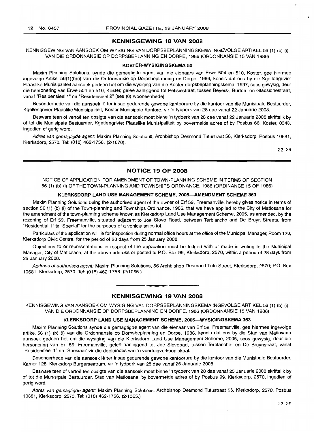# **KENNISGEWING 18 VAN 2008**

KENNISGEWING VAN AANSOEK OM WYSIGING VAN DORPSBEPLANNINGSKEMA INGEVOLGE ARTIKEL 56 (1) (b) (i) VAN DIE ORDONNANSIE OP DORPSBEPLANNING EN DORPE, 1986 (ORDONNANSIE 15 VAN 1986)

## **KOSTER-WYSIGINGSKEMA 50**

Maxim Planning Solutions, synde die gemagtigde agent van die eienaars van Erwe 504 en 510, Koster, gee hiermee ingevolge Artikel 56(1 )(b)(i) van die Ordonnansie op Dorpsbeplanning en Dorpe, 1986, kennis dat ons by die Kgetlengrivier Plaaslike Munisipaliteit aansoek gedoen het om die wysiging van die Koster-dorpsbeplanningskema, 1997, soos gewysig, deur die hersonering van Erwe 504 en 510, Koster, geleë aanliggend tot Petisiestraat, tussen Beyers-, Burton- en Gladstonestraat, vanaf "Residensieel 1" na "Residensieel 2" [ses (6) wooneenhede].

Besonderhede van die aansoek lê ter insae gedurende gewone kantoorure by die kantoor van die Munisipale Bestuurder, Kgetlengrivier Plaaslike Munisipaliteit, Koster Munisipale Kantore, vir 'n tydperk van 28 dae vanaf 22 Januarie 2008.

Besware teen of vertoe ten opsigte van die aansoek moet binne 'n tydperk van 28 dae vanaf 22 Januarie 2008 skriftelik by of tot die Munisipale Bestuurder, Kgetlengrivier Plaaslike Munisipalitelt by bovermelde adres of by Posbus 66, Koster, 0348, ingedien of gerig word.

Adres van gemagtigde agent: Maxim Planning Solutions, Archbishop Desmond Tutustraat 56, Klerksdorp; Posbus 10681, Klerksdorp, 2570. Tel: (018) 462-1756, (2/1070).

22-29

# **NOTICE 19 OF 2008**

NOTICE OF APPLICATION FOR AMENDMENT OF TOWN-PLANNING SCHEME IN TERMS OF SECTION 56 (1) (b) (i) OF THE TOWN-PLANNING AND TOWNSHIPS ORDNANCE, 1986 (ORDINANCE 15 OF 1986)

# **KLERKSDORP LAND USE MANAGEMENT SCHEME, 2005-AMENDMENT SCHEME 363**

Maxim Planning Solutions being the authorised agent of the owner of Erf 59, Freemanville, hereby gives notice in terms of section 56 (1) (b) (i) of the Town-planning and Townships Ordinance, 1986, that we have applied to the City of Matlosana for the amendment of the town-planning scheme known as Klerksdorp Land Use Management Scheme, 2005, as amended, by the rezoning of Erf 59, Freemanville, situated adjacent to Joe Siovo Road, between Terblanche and De Bruyn Streets, from "Residential 1" to "Special" for the purposes of a vehicle sales lot.

Particulars of the application will lie for inspection during normal office hours at the office of the Municipal Manager, Room 128, Klerksdorp Civic Centre, for the period of 28 days from 25 January 2008.

Objections to or representations in respect of the application must be lodged with or made in writing to the Municipal Manager, City of Matlosana, at the above address or posted to P.O. Box 99, Klerksdorp, 2570, within a period of 28 days from 25 January 2008.

Address of authorised agent: Maxim Planning Solutions, 56 Archbishop Desmond Tutu Street, Klerksdorp, 2570; P.O. Box 10681, Klerksdorp, 2570. Tel: (018) 462-1756. (2/1065.)

#### **KENNISGEWING 19 VAN 2008**

.**-.**

KENNISGEWING VAN MNSOEK OM WYSIGING VAN DORPSBEPLANNINGSKEMA INGEVOLGE ARTIKEL 56 (1) (b) (i) VAN DIE ORDONNANSIE OP DORPSBEPLANNING EN DORPE, 1986 (ORDONNANSIE 15 VAN 1986)

#### **KLERKSDORP LAND USE MANAGEMENT SCHEME, 2005-WYSIGINGSKEMA 363**

Maxim Planning Solutions synde die gemagtigde agent van die eienaar van Erf 59, Freemanville, gee hiermee ingevolge artikel 56 (1) (b) (i) van die Ordonnansie op Dorpsbeplanning en Dorpe, 1986, kennis dat ons by die Stad van Matlosana aansoek gedoen het om die wysiging van die Klerksdorp Land Use Management Scheme, 2005, soos gewysig, deur die hersonering van Erf 59, Freemanville, geleë aanliggend tot Joe Slovopad, tussen Terblanche- en De Bruynstraat, vanaf "Residensieel 1" na "Spesiaal" vir die doeleindes van 'n voertuigverkooplokaal.

Besonderhede van die aansoek lê ter insae gedurende gewone kantoorure by die kantoor van die Munisipale Bestuurder, Kamer 128, Klerksdorp Burgersentrum, vir 'n tydperk van 28 dae vanaf 25 Januarie 2008.

Besware teen of vertoë ten opsigte van die aansoek moet binne 'n tydperk van 28 dae vanaf 25 Januarie 2008 skriftelik by of tot die Munisipale Bestuurder, Stad van Matlosana, by bovermelde adres of by Posbus 99, Klerksdorp, 2570, ingedien of gerig word.

Adres van gemagtigde agent: Maxim Planning Solutions, Archbishop Desmond Tutustraat 56, Klerksdorp, 2570; Posbus 10681, Klerksdorp, 2570. Tel: (018) 462-1756. (2/1065.)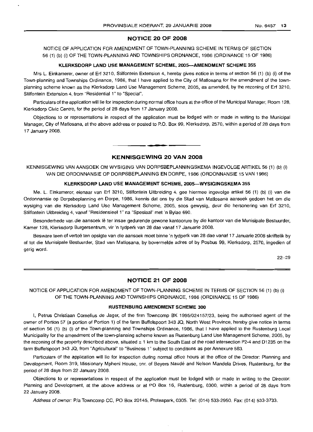# **NOTICE 20 OF 2008**

NOTICE OF APPLICATION FOR AMENDMENT OF TOWN-PLANNING SCHEME IN TERMS OF SECTION 56 (1) (b) (i) OF THE TOWN-PLANNING AND TOWNSHIPS ORDNANCE, 1986 (ORDINANCE 15 OF 1986)

#### **KLERKSDORP LAND USE MANAGEMENT SCHEME, 2005-AMENDMENT SCHEME 355**

Mrs L. Einkamerer, owner of Erf 3210, Stilfontein Extension 4, hereby gives notice in terms of section 56 (1) (b) (i) of the Town-planning and Townships Ordinance, 1986, that I have applied to the City of Matlosana for the amendment of the townplanning scheme known as the Klerksdorp Land Use Management Scheme, 2005, as amended, by the rezoning of Erf 3210, Stilfontein Extension 4, from "Residential 1" to "Special".

Particulars of the application will lie for inspection during normal office hours at the office of the Municipal Manager, Room 128, Klerksdorp Civic Centre, for the period of 28 days from 17 January 2008.

Objections to or representations in respect of the application must be lodged with or made in writing to the Municipal Manager, City of Matlosana, at the above address or posted to P.O. Box 99, Klerksdorp, 2570, within a period of 28 days from 17 January 2008.

# **KENNISGEWING 20 VAN 2008**

.**-.**

KENNISGEWING VAN AANSOEK OM WYSIGING VAN DORPSBEPLANNINGSKEMA INGEVOLGE ARTIKEL 56 (1) (b) (i) VAN DIE ORDONNANSIE OP DORPSBEPLANNING EN DORPE, 1986 (ORDONNANSIE 15 VAN 1986)

#### **KLERKSDORP LAND USE MANAGEMENT SCHEME, 2005-WYSIGINGSKEMA 355**

Me. L. Einkamerer, eienaar van Erf 3210, Stilfontein Uitbreiding 4, gee hiermee ingevolge artikel 56 (1) (b) (i) van die Ordonnansie op Dorpsbeplanning en Dorpe, 1986, kennis dat ons by die Stad van Matlosana aansoek gedoen het om die wysiging van die Klerksdorp Land Use Management Scheme, 2005, soos gewysig, deur die hersonering van Erf 3210, Stilfontein Uitbreiding 4, vanaf "Residensieel 1" na "Spesiaal" met 'n Bylae 690.

Besonderhede van die aansoek lê ter insae gedurende gewone kantoorure by die kantoor van die Munisipale Bestuurder, Kamer 128, Klerksdorp Burgersentrum, vir 'n tydperk van 28 dae vanaf 17 Januarie 2008.

Besware teen of vertoë ten opsigte van die aansoek moet binne 'n tydperk van 28 dae vanaf 17 Januarie 2008 skriftelik by of tot die Munisipale Bestuurder, Stad van Matlosana, by bovermelde adres of by Posbus 99, Klerksdorp, 2570, ingedien of gerig word.

22-29

# **NOTICE 21 OF 2008**

NOTICE OF APPLICATION FOR AMENDMENT OF TOWN-PLANNING SCHEME IN TERMS OF SECTION 56 (1) (b) (i) OF THE TOWN-PLANNING AND TOWNSHIPS ORDINANCE, 1986 (ORDINANCE 15 OF 1986)

#### **RUSTENBURG AMENDMENT SCHEME 300**

I, Petrus Christiaan Cornelius de Jager, of the firm Towncomp BK 1995/024157/23, being the authorised agent of the owner of Portion 57 (a portion of Portion 1) of the farm Buffelspoort 343 JQ, North West Province, hereby give notice in terms of section 56 (1) (b) (i) of the Town-planning and Townships Ordinance, 1986, that I have applied to the Rustenburg Local Municipality for the amendment of the town-planning scheme known as Rustenburg Land Use Management Scheme, 2005, by the rezoning of the property described above, situated  $\pm$  1 km to the South East of the road intersection P2-4 and D1235 on the farm Buffelspoort 343 JQ, from "Agricultural" to "Business 1" subject to conditions as per Annexure 583.

Particulars of the application will lie for inspection during normal office hours at the office of the Director: Planning and Development, Room 319, Missionary Mpheni House, cnr, of Beyers Naude and Nelson Mandela Drives, Rustenburg, for the period of 28 days from 22 January 2008.

Objections to or representations in respect of the application must be lodged with or made in writing to the Director: Planning and Development, at the above address or at PO Box 16, Rustenburg, 0300, within a period of 28 days from 22 January 2008.

Address of owner: Pia Towncomp CC, PO Box 20145, Proteapark, 0305. Tel: (014) 533-2950. Fax: (014) 533-3733.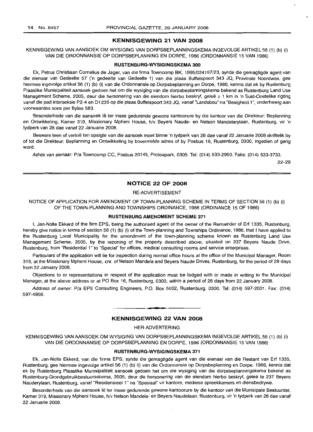# KENNISGEWING 21 VAN 2008

KENNISGEWING VAN AANSOEK OM WYSIGING VAN DORPSBEPLANNINGSKEMA INGEVOLGE ARTIKEL 56 (1) (b) (i) VAN DIE ORDONNANSIE OP DORPSBEPLANNING EN DORPE, 1986 (ORDONNANSIE 15 VAN 1986)

#### RUSTENBURG-WYSIGINGSKEMA 300

Ek, Petrus Christiaan Cornelius de Jager, van die firma Towncomp BK, 1995/024157/23, synde die gemagtigde agent van die eienaar van Gedeelte 57 ('n gedeelte van Gedeelte 1) van die plaas Buffelspoort 343 JQ, Provinsie Noordwes, gee hiermee ingevolge artikel 56 (1) (b) (i) van die Ordonnansie op Dorpsbeplanning en Dorpe, 1986, kennis dat ek by Rustenburg Plaaslike Munisipaliteit aansoek gedoen het om die wysiging van die dorpsbeplanningskema bekend as Rustenburg Land Use Management Scheme, 2005, deur die hersonering van die eiendom hierbo beskryf, gelee ± 1 km in 'n Suid-Oostelike rigting vanaf die pad interseksie P2-4 en D1235 op die plaas Buffelspoort 343 JQ, vanaf "Landsbou" na "Besigheid 1", onderhewig aan voorwaardes soas per Bylae 583.

Besonderhede van die aansoek lê ter insae gedurende gewone kantoorure by die kantoor van die Direkteur: Beplanning en Ontwikkeling, Kamer 319, Missionary Mpheni House, h/v Beyers Naude- en Nelson Mandelarylaan, Rustenburg, vir 'n tydperk van 28 dae vanaf 22 Januarie 2008.

Besware teen of vertoë ten opsigte van die aansoek moet binne 'n tydperk van 28 dae vanaf 22 Januarie 2008 skriftelik by of tot die Direkteur: Beplanning en Ontwikkeling by bovermelde adres of by Posbus 16, Rustenburg, 0300, ingedien of gerig word.

Adres van eienaar: Pia Towncomp CC, Posbus 20145, Proteapark, 0305. Tel: (014) 533-2950. Faks: (014) 533-3733.

22-29

# NOTICE 22 OF 2008

# RE-ADVERTISEMENT

NOTICE OF APPLICATION FOR AMENDMENT OF TOWN-PLANNING SCHEME IN TERMS OF SECTION 56 (1) (b) (i) OF THE TOWN-PLANNING AND TOWNSHIPS ORDINANCE, 1986 (ORDINANCE 15 OF 1986)

#### RUSTENBURG AMENDMENT SCHEME 371

I, Jan-Nolte Ekkerd of the firm EPS, being the authorised agent of the owner of the Remainder of Erf 1335, Rustenburg, hereby give notice in terms of section 56 (1) (b) (i) of the Town-planning and Townships Ordinance, 1986, that I have applied to the Rustenburg Local Municipality for the amendment of the town-planning scheme known as Rustenburg Land Use Management Scheme, 2005, by the rezoning of the property described above, situated on 237 Beyers Naude Drive, Rustenburg, from "Residential 1" to "Special" for offices, medical consulting rooms and service enterprises.

Particulars of the application will lie for inspection during normal office hours at the office of the Municipal Manager, Room 319, at the Missionary Mpheni House, cnr. of Nelson Mandela and Beyers Naude Drives, Rustenburg, for the period of 28 days from 22 January 2008.

Objections to or representations in respect of the application must be lodged with or made in writing to the Municipal Manager, at the above address or at PO Box 16, Rustenburg, 0300, within a period of 28 days from 22 January 2008.

Address of owner: Pia EPS Consulting Engineers, P.O. Box 5002, Rustenburg, 0300. Tel: (014) 597-2001. Fax: (014) 597-4956.

# **•** KENNISGEWING 22 VAN 2008

## HER-ADVERTERING

KENNISGEWING VAN AANSOEK OM WYSIGING VAN DORPSBEPLANNINGSKEMA INGEVOLGE ARTIKEL 56 (1) (b) (i) VAN DIE ORDONNANSIE OP DORPSBEPLANNING EN DORPE, 1986 (ORDONNANSIE 15 VAN 1986)

## RUSTENBURG-WYSIGINGSKEMA 371

Ek, Jan-Nolte Ekkerd, van die firma EPS, synde die gemagtigde agent van die eienaar van die Restant van Erf 1335, Rustenburg, gee hiermee ingevolge artikel 56 (1) (b) (i) van die Ordonnansie op Dorpsbeplanning en Darpe, 1986, kennis dat ek by Rustenburg Plaaslike Munisipaliteit aansoek gedoen het om die wysiging van die dorpsbeplanningskema bekend as Rustenburg-Grondgebruikbestuursskema, 2005, deur die hersonering van die eiendom hierbo beskryf, geleë te 237 Beyers Nauderylaan, Rustenburg, vanaf "Residensieel 1" na "Spesiaal" vir kantore, mediese spreekkamers en diensbedrywe.

Besonderhede van die aansoek lê ter insae gedurende gewone kantoorure by die kantoor van die Munisipale Bestuurder, Kamer 319, Missionary Mpheni House, h/v Nelson Mandela- en Beyers Naudelaan, Rustenburg, vir 'n tydperk van 28 dae vanaf 22 Januarie 2008.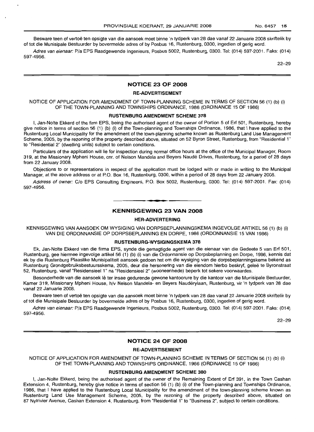Besware teen of vertoe ten opsigte van die aansoek moet binne 'n tydperk van 28 dae vanaf 22 Januarie 2008 skriftelik by of tot die Munisipale Bestuurder by bovermelde adres of by Posbus 16, Rustenburg, 0300, ingedien of gerig word.

Adres van eienaar: P/a EPS Raadgewende Ingenieurs, Posbus 5002, Rustenburg, 0300. Tel: (014) 597-2001. Faks: (014) 597-4956.

22-29

# **NOTICE 23 OF 2008**

# **RE-ADVERTISEMENT·**

NOTICE OF APPLICATION FOR AMENDMENT OF TOWN-PLANNING SCHEME IN TERMS OF SECTION 56 (1) (b) (i) OF THE TOWN-PLANNING AND TOWNSHIPS ORDINANCE, 1986 (ORDINANCE 15 OF 1986)

#### **RUSTENBURG AMENDMENT SCHEME 378**

I, Jan-Nolte Ekkerd of the firm EPS, being the authorised agent of the owner of Portion 5 of Erf 501, Rustenburg, hereby give notice in terms of section 56 (1) (b) (i) of the Town-planning and Townships Ordinance, 1986, that I have applied to the Rustenburg Local Municipality for the amendment of the town-planning scheme known as Rustenburg Land Use Management Scheme, 2005, by the rezoning of the property described above, situated on 52 Byron Street, Rustenburg, from "Residential 1" to "Residential 2" (dwelling units) subject to certain conditions.

Particulars of the application will lie for inspection during normal office hours at the office of the Municipal Manager, Room 319, at the Missionary Mpheni House, em. of Nelson Mandela and Beyers Naude Drives, Rustenburg, for a period of 28 days from 22 January 2008.

Objections to or representations in respect of the application must be lodged with or made in writing to the Municipal Manager, at the above address or at P.O. Box 16, Rustenburg, 0300, within a period of 28 days from 22 January 2008.

Address of owner: C/o EPS Consulting Engineers, P.O. Box 5002, Rustenburg, 0300. Tel: (014) 597-2001. Fax: (014) 597-4956. .**-.**

#### **KENNISGEWING 23 VAN 2008**

#### **HER-ADVERTERING**

KENNISGEWING VAN AANSOEK OM WYSIGING VAN DORPSBEPLANNINGSKEMA INGEVOLGE ARTIKEL 56 (1) (b) (i) VAN DIE ORDONNANSIE OP DORPSBEPLANNING EN DORPE, 1986 (ORDONNANSIE 15 VAN 1986)

#### **RUSTENBURG-WYSIGINGSKEMA 378**

Ek, Jan-Nolte Ekkerd van die firma EPS, synde die gemagtigde agent van die eienaar van die Gedeete 5 van Erf 501, Rustenburg, gee hiermee ingevolge artikel 56 (1) (b) (i) van die Ordonnansie op Dorpsbeplanning en Dorpe, 1986, kennis dat ek by die Rustenburg Plaaslike Munisipaliteit aansoek gedoen het om die wysiging van die dorpsbeplanningskema bekend as Rustenburg Grondgebruiksbestuursskema, 2005, deur die hersonering van die eiendom hierbo beskryf, gelee te Byronstraat 52, Rustenburg, vanaf "Residensieel 1" na "Residensieel 2" (wooneenhede) beperk tot sekere voorwaardes.

Besonderhede van die aansoek lê ter insae gedurende gewone kantoorure by die kantoor van die Munisipale Bestuurder, Kamer 319, Missionary Mpheni House, h/v Nelson Mandela- en Beyers Nauderylaan, Rustenburg, vir 'n tydperk van 28 dae vanaf 22 Januarie 2008.

Besware teen of vertoë ten opsigte van die aansoek moet binne 'n tydperk van 28 dae vanaf 22 Januarie 2008 skriftelik by of tot die Munisipale Bestuurder by bovermelde adres of by Posbus 16, Rustenburg, 0300, ingedien of gerig word.

Adres van eienaar: P/a EPS Raadgewende Ingenieurs, Posbus 5002, Rustenburg, 0300. Tel: (014) 597-2001. Faks: (014) 597-4956.

22-29

#### **NOTICE 24 OF 2008**

#### **RE-ADVERTISEMENT**

NOTICE OF APPLICATION FOR AMENDMENT OF TOWN-PLANNING SCHEME IN TERMS OF SECTION 56 (1) (b) (i) OF THE TOWN-PLANNING AND TOWNSHIPS ORDINANCE, 1986 (ORDINANCE 15 OF 1986)

#### **RUSTENBURG AMENDMENT SCHEME 380**

I, Jan-Nolte Ekkerd, being the authorised agent of the owner of the Remaining Extent of Erf 391, in the Town Cashan Extension 4, Rustenburg, hereby give notice in terms of section 56 (1) (b) (i) of the Town-planning and Townships Ordinance, 1986, that I have applied to the Rustenburg Local Municipality for the amendment of the town-planning scheme known as Rustenburg Land Use Management Scheme, 2005, by the rezoning of the property described above, situated on 87 Nylrivier Avenue, Cashan Extension 4, Rustenburg, from "Residential 1" to "Business 2", subject to certain conditions.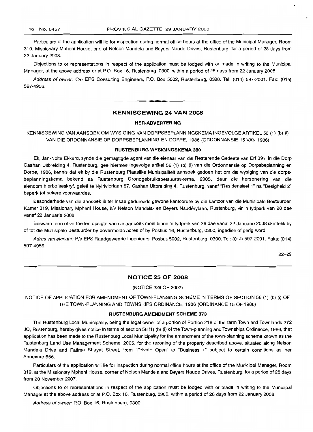Particulars of the application will lie for inspection during normal office hours at the office of the Municipal Manager, Room 319, Missionary Mpheni House, cnr. of Nelson Mandela and Beyers Naude Drives, Rustenburg, for a period of 28 days from 22 January 2008.

Objections to or representations in respect of the application must be lodged with or made in writing to the Municipal Manager, at the above address or at P.O. Box 16, Rustenburg, 0300, within a period of 28 days from 22 January 2008.

Address of owner: C/o EPS Consulting Engineers, P.O. Box 5002, Rustenburg, 0300. Tel: (014) 597-2001. Fax: (014) 597-4956.

# **KENNISGEWING 24 VAN 2008**

**.-**

#### **HER-ADVERTERING**

KENNISGEWING VAN AANSOEK OM WYSIGING VAN DORPSBEPLANNINGSKEMA INGEVOLGE ARTIKEL 56 (1) (b) (i) VAN DIE ORDONNANSIE OP DORPSBEPLANNING EN DORPE, 1986 (ORDONNANSIE 15 VAN 1986)

#### **RUSTENBURG-WYSIGINGSKEMA 380**

Ek, Jan-Nolte Ekkerd, synde die gemagtigde agent van die eienaar van die Resterende Gedeete van Erf 391, in die Dorp Cashan Uitbreiding 4, Rustenburg, gee hiermee ingevolge artikel 56 (1) (b) (i) van die Ordonnansie op Dorpsbeplanning en Dorpe, 1986, kennis dat ek by die Rustenburg Plaaslike Munisipaliteit aansoek gedoen het om die wysiging van die dorpsbeplanningskema bekend as Rustenburg Grondgebruiksbestuursskema, 2005, deur die hersonering van die eiendom hierbo beskryf, geleë te Nylrivierlaan 87, Cashan Uitbreiding 4, Rustenburg, vanaf "Residensieel 1" na "Besigheid 2" beperk tot sekere voorwaardes.

Besonderhede van die aansoek lê ter insae gedurende gewone kantoorure by die kantoor van die Munisipale Bestuurder, Kamer 319, Missionary Mpheni House, h/v Nelson Mandela- en Beyers Nauderylaan, Rustenburg, vir 'n tydperk van 28 dae vanaf 22 Januarie 2008.

Besware teen of vertoë ten opsigte van die aansoek moet binne 'n tydperk van 28 dae vanaf 22 Januarie 2008 skriftelik by of tot die Munisipale Bestuurder by bovermelde adres of by Posbus 16, Rustenburg, 0300, ingedien of gerig word.

Adres van eienaar: Pia EPS Raadgewende Ingenieurs, Posbus 5002, Rustenburg, 0300. Tel: (014) 597-2001. Faks: (014) 597-4956.

22-29

# **NOTICE 25 OF 2008**

#### (NOTICE 229 OF 2007)

NOTICE OF APPLICATION FOR AMENDMENT OF TOWN-PLANNING SCHEME IN TERMS OF SECTION 56 (1) (b) (i) OF THE TOWN-PLANNING AND TOWNSHIPS ORDINANCE, 1986 (ORDINANCE 15 OF 1986)

#### **RUSTENBURG AMENDMENT SCHEME 373**

The Rustenburg Local Municipality, being the legal owner of a portion of Portion 218 of the farm Town and Townlands 272 JQ, Rustenburg, hereby gives notice in terms of section 56 (1) (b) (i) of the Town-planning and Townships Ordinance, 1986, that application has been made to the Rustenburg Local Municipality for the amendment of the town-planning scheme known as the Rustenburg Land Use Management Scheme, 2005, for the rezoning of the property described above, situated along Nelson Mandela Drive and Fatima Bhayat Street, from "Private Open" to "Business 1" subject to certain conditions as per Annexure 656.

Particulars of the application will lie for inspection during normal office hours at the office of the Municipal Manager, Room 319, at the Missionary Mpheni House, corner of Nelson Mandela and Beyers Naude Drives, Rustenburg, for a period of 28 days from 20 November 2007.

Objections to or representations in respect of the application must be lodged with or made in writing to the Municipal Manager at the above address or at P.O. Box 16, Rustenburg, 0300, within a period of 28 days from 22 January 2008.

Address of owner: P.O. Box 16, Rustenburg, 0300.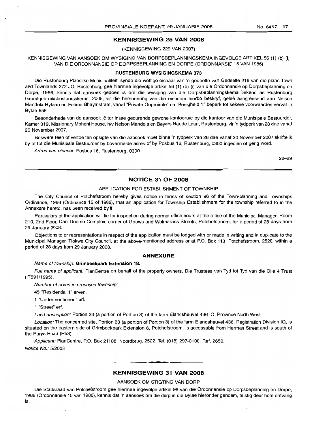# **KENNISGEWING 25 VAN 2008**

(KENNISGEWING 229 VAN 2007)

KENNISGEWING VAN AANSOEK OM WYSIGING VAN DORPSBEPLANNINGSKEMA INGEVOLGE ARTIKEL 56 (1) (b) (i) VAN DIE ORDONNANSIE OP DORPSBEPLANNING EN DORPE (ORDONNANSIE 15 VAN 1986)

# **RUSTENBURG WYSIGINGSKEMA 373**

Die Rustenburg Plaaslike Munisipaliteit, synde die wettige eienaar van 'n gedeelte van Gedeelte 218 van die plaas Town and Townlands 272 JQ, Rustenburg, gee hiermee ingevolge artikel 56 (1) (b) (i) van die Ordonnansie op Dorpsbeplanning en Dorpe, 1986, kennis dat aansoek gedoen is om die wysiging van die Dorpsbeplanningskema bekend as Rustenburg Grondgebruiksbestuursskema, 2005, vir die hersonering van die eiendom hierbo beskryf, geleë aangrensend aan Nelson Mandela Rylaan en Fatima Bhayatstraat, vanaf "Private Oopruimte" na "Besigheid 1" beperk tot sekere voorwaardes vervat in Bylae 656.

Besonderhede van de aansoek lê ter insae gedurende gewone kantoorure by die kantoor van die Munisipale Bestuurder, Kamer 319, Missionary Mpheni House, h/v Nelson Mandela en Beyers Naude Laan, Rustenburg, vir 'n tydperk van 28 dae vanaf 20 November 2007.

Besware teen of vertoe ten opsigte van die aansoek moet binne 'n tydperk van 28 dae vanaf 20 November 2007 skriftelik by of tot die Munisipale Bestuurder by bovermelde adres of by Posbus 16, Rustenburg, 0300 ingedien of gerig word.

Adres van eienaar: Posbus 16, Rustenburg, 0300.

22-29

# **NOTICE 31 OF 2008**

#### APPLICATION FOR ESTABLISHMENT OF TOWNSHIP

The City Council of Potchefstroom hereby gives notice in terms of section 96 of the Town-planning and Townships Ordinance, 1986 (Ordinance 15 of 1986), that an application for Township Establishment for the township referred to in the Annexure hereto, has been received by it.

Particulars of the application will lie for inspection during normal office hours at the office of the Municipal Manager, Room 210, 2nd Floor, Dan Tloome Complex, corner of Gouws and Wolmarans Streets, Potchefstroom, for a period of 28 days from 29 January 2008.

Objections to or representations in respect of the application must be lodged with or made in writing and in duplicate to the Municipal Manager, Tlokwe City Council, at the above-mentioned address or at P.O. Box 113, Potchefstroom, 2520, within a period of 28 days from 29 January 2008.

# **ANNEXURE**

#### Name of township: **Grimbeekpark Extension 18.**

Full name of applicant: PlanCentre on behalf of the property owners, Die Trustees van Tyd tot Tyd van die Olie 4 Trust (IT591/1995).

Number of erven in proposed township:

45 "Residential 1" erven.

1 "Undermentioned" erf.

1 "Street" erf.

Land description: Portion 23 (a portion of Portion 3) of the farm Elandsheuvel 436 IQ, Province North West.

Location: The concerned site, Portion 23 (a portion of Portion 3) of the farm Elandsheuvel 436, Registration Division IQ, is situated on the eastern side of Grimbeekpark Extension 6, Potchefstroom, is accessable from Herman Street and is south of the Parys Road (R53).

Applicant: PlanCentre, P.O. Box 21108, Noordbrug, 2522. Tel. (018) 297-0100. Ref. 2650.

Notice No.: 5/2008

# **• KENNISGEWING 31 VAN 2008**

#### AANSOEK OM STIGTING VAN DORP

Die Stadsraad van Potchefstroom gee hiermee ingevolge artikel 96 van die Ordonnansie op Dorpsbeplanning en Dorpe, 1986 (Ordonnansie 15 van 1986), kennis dat 'n aansoek om die dorp in die Bylae hieronder genoem, te stig deur hom ontvang is.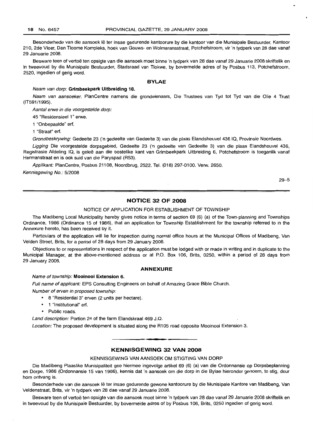Besonderhede van die aansoek lê ter insae gedurende kantoorure by die kantoor van die Munisipale Bestuurder, Kantoor 210, 2de Vloer, Dan Tloome Kompleks, hoek van Gouws- en Wolmaransstraat, Potchefstroom, vir 'n tydperk van 28 dae vanaf 29 Januarie 2008.

Besware teen of vertoë ten opsigte van die aansoek moet binne 'n tydperk van 28 dae vanaf 29 Januarie 2008 skriftelik en in tweevoud by die Munisipale Bestuurder, Stadsraad van Tlokwe, by bovermelde adres of by Posbus 113, Potchefstroom, 2520, ingedien of gerig word.

# **BYLAE**

#### Naam van dorp: **Grimbeekpark Uitbreiding 18.**

Naam van aansoeker: PlanCentre namens die grondeienaars, Die Trustees van Tyd tot Tyd van die Olie 4 Trust (IT591/1995).

Aantal erwe in die voorgestelde dorp:

45 "Residensieel 1" erwe.

1 "Onbepaalde" erf.

1 "Straat" erf.

Grondbeskrywing: Gedeelte 23 ('n gedeelte van Gedeelte 3) van die plaas Elandsheuvel 436 IQ, Provinsie Noordwes.

Ligging Die voorgestelde dorpsgebied, Gedeelte 23 ('n gedeelte van Gedeelte 3) van die plaas Elandsheuvel 436, Registrasie Afdeling IQ, is geleë aan die oostelike kant van Grimbeekpark Uitbreiding 6, Potchefstroom is toeganlik vanaf Hermanstraat en is ook suid van die Paryspad (R53).

Applikant: PlanCentre, Posbus 21108, Noordbrug, 2522. Tel. (018) 297-0100. Verw. 2650.

Kennisgewing No.: 5/2008

29-5

# **NOTICE 32 OF 2008**

#### NOTICE OF APPLICATION FOR ESTABLISHMENT OF TOWNSHIP

The Madibeng Local Municipality hereby gives notice in terms of section 69 (6) (a) of the Town-planning and Townships Ordinance, 1986 (Ordinance 15 of 1986), that an application for Township Establishment for the township referred to in the Annexure hereto, has been received by it.

Particulars of the application will lie for inspection during normal office hours at the Municipal Offices of Madibeng, Van Velden Street, Brits, for a period of 28 days from 29 January 2008.

Objections to or representations in respect of the application must be lodged with or made in writing and in duplicate to the Municipal Manager, at the above-mentioned address or at P.O. Box 106, Brits, 0250, within a period of 28 days from 29 January 2008.

#### **ANNEXURE**

#### Name of township: **Mooinooi Extension** 6.

Full name of applicant: EPS Consulting Engineers on behalf of Amazing Grace Bible Church.

Number of erven in proposed township:

- 8 "Residential 3" erven (2 units per hectare).
- 1 "Institutional" erf.
- Public roads.

Land description: Portion 24 of the farm Elandskraal 469 J.Q.

Location: The proposed development is situated along the R105 road opposite Mooinooi Extension 3.

# **• KENNISGEWING 32 VAN 2008**

#### KENNISGEWING VAN AANSOEK OM STIGTING VAN DORP

Die Madibeng Plaaslike Munisipaliteit gee hiermee ingevolge artikel 69 (6) (a) van die Ordonnansie op Dorpsbeplanning en Dorpe, 1986 (Ordonnansie 15 van 1986), kennis dat 'n aansoek om die dorp in die Bylae hieronder genoem, te stig, deur hom ontvang is.

Besonderhede van die aansoek Ie ter insae gedurende gewone kantoorure by die Munisipale Kantore van Madibeng, Van Veldenstraat, Brits, vir 'n tydperk van 28 dae vanaf 29 Januarie 2008.

Besware teen of vertoë ten opsigte van die aansoek moet binne 'n tydperk van 28 dae vanaf 29 Januarie 2008 skriftelik en in tweevoud by die Munisipale Bestuurder, by bovermelde adres of by Posbus 106, Brits, 0250 ingedien of gerig word.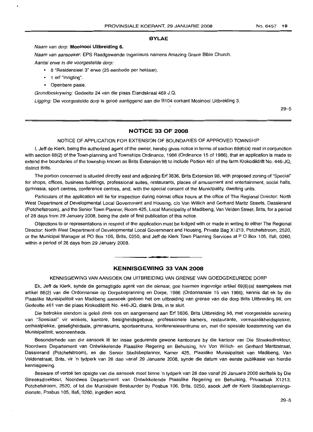## **BYLAE**

## Naam van dorp: **Mooinooi Uitbreiding 6.**

Naam van aansoeker: EPS Raadgewende Ingenieurs narnens Amazing Grace Bible Church.

Aantal erwe in die voorqestelde dorp:

- 8 "Residensieel 3" erwe (25 eenhede per hektaar).
- 1 erf "Inrigting".
- Openbare paaie.

Grondbeskrywing: Gedeelte 24 van die plaas Elandskraal 469 J.Q.

Ligging: Die voorgestelde dorp is geleë aanliggend aan die R104 oorkant Mooinooi Uitbreiding 3.

29-5

# **NOTICE 33 OF 2008**

#### NOTICE OF APPLICATION FOR EXTENSION OF BOUNDARIES OF APPROVED TOWNSHIP

I, Jeff de Klerk, being the authorized agent of the owner, hereby gives notice in terms of section 69(6)(a) read in conjunction with section 88(2) of the Town-planning and Townships Ordinance, 1986 (Ordinance 15 of 1986), that an application is made to extend the boundaries of the township known as Brits Extension 98 to include Portion 461 of the farm Krokodildrift No. 446-JQ, district Brits.

The portion concerned is situated directly east and adjoining Erf 3836, Brits Extension 98, with proposed zoning of "Special" for shops, offices, business buildings, professional suites, restaurants, places of amusement and entertainment, social halls, gymnasia, sport centres, conference centres, and, with the special consent of the Municipality, dwelling units.

Particulars of the application will lie for inspection during normal office hours at the office of The Regional Director: North West Department of Developmental Local Government and Housing, c/o Von Willich and Gerhard Maritz Streets, Dassierand (Potchefstroom), and the Senior Town Planner, Room 425, Local Municipality of Madibeng, Van Velden Street, Brits, for a period of 28 days from 29 January 2008, being the date of first publication of this notice.

Objections to or representations in respect of the application must be lodged with or made in writing to either The Regional Director: North West Department of Developmental Local Government and Housing, Private Bag X1213, Potchefstroom, 2520, or the Municipal Manager at PO Box 106, Brits, 0250, and Jeff de Klerk Town Planning Services at POBox 105, Ifafi, 0260, within a period of 28 days from 29 January 2008.

# **KENNISGEWING 33 VAN 2008**

**•**

#### KENNISGEWING VAN AANSOEK OM UITBREIDING VAN GRENSE VAN GOEDGEKEUREDE DORP

Ek, Jeff de Klerk, synde die gemagtigde agent van die eienaar, gee hiermee ingevolge artikel 69(6)(a) saamgelees met artikel 88(2) van die Ordonnansie op Dorpsbeplanning en Dorpe, 1986 (Ordonnansie 15 van 1986), kennis dat ek by die Plaaslike Munisipaliteit van Madibeng aansoek gedoen het om uitbreiding van grense van die dorp Brits Uitbreiding 98, om Gedeelte 461 van die plaas Krokodildrift No. 446-JQ, distrik Brits, in te sluit.

Die betrokke eiendom is gelee direk oos en aangrensend aan Erf 3836, Brits Uitbreiding 98, met voorgestelde sonering van "Spesiaal" vir winkels, kantore, besigheidsgeboue, professionele kamers, restaurante, vermaaklikheidsplekke, onthaalplekke, geseligheidsale, gimnasiums, sportsentrums, konferensiesentrums en, met die spesiale toestemming van die Munisipaliteit, wooneenhede.

Besonderhede van die aansoek lê ter insae gedurende gewone kantoorure by die kantoor van Die Streeksdirekteur, Noordwes Departement van Ontwikkelende Plaaslike Regering en Behuising, h/v Von Willich- en Gerhard Maritzstraat, Dassierand (Potchefstroom), en die Senior Stadsbeplanner, Kamer 425, Plaaslike Munisipaliteit van Madibeng, Van Veldenstraat, Brits, vir 'n tydperk van 28 dae vanaf 29 Januarie 2008, synde die datum van eerste publikasie van hierdie kennisgewing.

Besware of vertoë ten opsigte van die aansoek moet binne 'n tydperk van 28 dae vanaf 29 Januarie 2008 skriftelik by Die Streeksdirekteur, Noordwes Departement van Ontwikkelende Plaaslike Regering en Behuising, Privaatsak X1213, Potchefstroom, 2520, of tot die Munisipale Bestuurder by Posbus 106, Brits, 0250, asook Jeff de Klerk Stadsbeplanningsdienste, Posbus 105, Ifafi, 0260, ingedien word.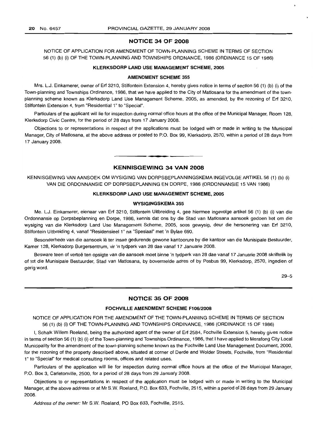# **NOTICE 34 OF 2008**

NOTICE OF APPLICATION FOR AMENDMENT OF TOWN-PLANNING SCHEME IN TERMS OF SECTION 56 (1) (b) (i) OF THE TOWN-PLANNING AND TOWNSHIPS ORDNANCE, 1986 (ORDINANCE 15 OF 1986)

#### **KLERKSDORP LAND USE MANAGEMENT SCHEME, 2005**

#### **AMENDMENT SCHEME 355**

Mrs. L.J. Einkamerer, owner of Erf 3210, Stilfontein Extension 4, hereby gives notice in terms of section 56 (1) (b) (i) of the Town-planning and Townships Ordinance, 1986, that we have applied to the City of Matlosana for the amendment of the townplanning scheme known as Klerksdorp Land Use Management Scheme, 2005, as amended, by the rezoning of Erf 3210, Stilfontein Extension 4, from "Residential 1" to "Special".

Particulars of the applicant will lie for inspection during normal office hours at the office of the Municipal Manager, Room 128, Klerksdorp Civic Centre, for the period of 28 days from 17 January 2008.

Objections to or representations in respect of the applications must be lodged with or made in writing to the Municipal Manager, City of Matlosana, at the above address or posted to P.O. Box 99, Klerksdorp, 2570, within a period of 28 days from 17 January 2008.

# **KENNISGEWING 34 VAN 2008**

**•**

KENNISGEWING VAN AANSOEK OM WYSIGING VAN DORPSBEPLANNINGSKEMA INGEVOLGE ARTIKEL 56 (1) (b) (i) VAN DIE ORDONNANSIE OP DORPSBEPLANNING EN DORPE, 1986 (ORDONNANSIE 15 VAN 1986)

# **KLERKSDORP LAND USE MANAGEMENT SCHEME, 2005**

#### **WYSIGINGSKEMA 355**

Me. L.J. Einkamerer, eienaar van Erf 3210, Stilfontein Uitbreiding 4, gee hiermee ingevolge artikel 56 (1) (b) (i) van die Ordonnansie op Dorpsbeplanning en Dorpe, 1986, kennis dat ons by die Stad van Matlosana aansoek gedoen het om die wysiging van die Klerksdorp Land Use Management Scheme, 2005, soos gewysig, deur die hersonering van Erf 3210, Stilfontein Uitbreiding 4, vanaf "Residensieel 1" na "Spesiaal" met 'n Bylae 690.

Besonderhede van die aansoek lê ter insae gedurende gewone kantoorure by die kantoor van die Munisipale Bestuurder, Kamer 128, Klerksdorp Burgersentrum, vir 'n tydperk van 28 dae vanaf 17 Januarie 2008.

Besware teen of vertoë ten opsigte van die aansoek moet binne 'n tydperk van 28 dae vanaf 17 Januarie 2008 skriftelik by of tot die Munisipale Bestuurder, Stad van Matlosana, by bovermelde adres of by Posbus 99, Klerksdorp, 2570, ingedien of gerig word.

29-5

# **NOTICE 35 OF 2008**

#### **FOCHVILLE AMENDMENT SCHEME F106/200B**

NOTICE OF APPLICATION FOR THE AMENDMENT OF THE TOWN-PLANNING SCHEME IN TERMS OF SECTION 56 (1) (b) (i) OF THE TOWN-PLANNING AND TOWNSHIPS ORDINANCE, 1986 (ORDINANCE 15 OF 1986)

I, Schalk Willem Roeland, being the authorized agent of the owner of Erf 2584, Fochville Extension 5, hereby gives notice in terms of section 56 (1) (b) (i) of the Town-planning and Townships Ordinance, 1986, that I have applied to Merafong City Local Municipality for the amendment of the town-planning scheme known as the Fochville Land Use Management Document, 2000, for the rezoning of the property described above, situated at corner of Derde and Wolder Streets, Fochville, from "Residential 1" to "Special" for medical consulting rooms, offices and related uses.

Particulars of the application will lie for inspection during normal office hours at the office of the Municipal Manager, P.O. Box 3, Carletonville, 2500, for a period of 28 days from 29 January 2008.

Objections to or representations in respect of the application must be lodged with or made in writing to the Municipal Manager, at the above address or at Mr S.W. Roeland, P.O. Box 633, Fochville, 2515, within a period of 28 days from 29 January 2008.

Address of the owner: Mr S.W. Roaland, PO Box 633, Fochville, 2515.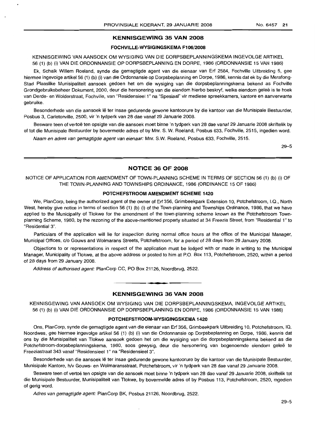# **KENNISGEWING 35 VAN 2008**

# **FOCHVILLE-WYSIGINGSKEMA F106/2008**

KENNISGEWING VAN AANSOEK OM WYSIGING VAN DIE DORPSBEPLANNINGSKEMA INGEVOLGE ARTIKEL 56 (1) (b) (i) VAN DIE ORDONNANSIE OP DORPSBEPLANNING EN DORPE, 1986 (ORDONNANSIE 15 VAN 1986)

Ek, Schalk Willem Roeland, synde die gemagtigde agent van die eienaar van Erf 2584, Fochville Uitbreiding 5, gee hiermee ingevolge artikel 56 (1) (b) (i) van die Ordonnansie op Dorpsbeplanning en Dorpe, 1986, kennis dat ek by die Merafong-Stad Plaaslike Munisipaliteit aansoek gedoen het om die wysiging van die dorpsbeplanningskema bekend as Fochville Grondgebruiksbeheer Dokument, 2000, deur die hersonering van die eiendom hierbo beskryf, welke eiendom geleë is te hoek van Derde- en Wolderstraat, Fochville, van "Residensieel 1" na "Spesiaal" vir mediese spreekkamers, kantore en aanverwante gebruike.

Besonderhede van die aansoek lê ter insae gedurende gewone kantoorure by die kantoor van die Munisipale Bestuurder, Posbus 3, Carletonville, 2500, vir 'n tydperk van 28 dae vanaf 29 Januarie 2008.

Besware teen of vertoe ten opsigte van die aansoek moet binne 'n tydperk van 28 dae vanaf 29 Januarie 2008 skriftelik by of tot die Munisipale Bestuurder by bovermelde adres of by Mnr. S. W. Roeland, Posbus 633, Fochville, 2515, ingedien word.

Naam en adres van gemagtigde agent van eienaar: Mnr. S.W. Roeland, Posbus 633, Fochville, 2515.

29-5

# **NOTICE 36 OF 2008**

NOTICE OF APPLICATION FOR AMENDMENT OF TOWN-PLANNING SCHEME IN TERMS OF SECTION 56 (1) (b) (i) OF THE TOWN-PLANNING AND TOWNSHIPS ORDINANCE, 1986 (ORDINANCE 15 OF 1986)

#### **POTCHEFSTROOM AMENDMENT SCHEME 1420**

We, PlanCorp, being the authorized agent of the owner of Erf 356, Grimbeekpark Extension 10, Potchefstroom, I.Q., North West, hereby give notice in terms of section 56 (1) (b) (i) of the Town-planning and Townships Ordinance, 1986, that we have applied to the Municipality of Tlokwe for the amendment of the town-planning scheme known as the Potchefstroom Townplanning Scheme, 1980, by the rezoning of the above-mentioned property situated at 34 Freezia Street, from "Residential 1" to "Residential 3".

Particulars of the application will lie for inspection during normal office hours at the office of the Municipal Manager, Municipal Offices, c/o Gouws and Wolmarans Streets, Potchefstroom, for a period of 28 days from 29 January 2008.

Objections to or representations in respect of the application must be lodged with or made in writing to the Municipal Manager, Municipality of Tlokwe, at the above address or posted to him at P.O. Box 113, Potchefstroom, 2520, within a period of 28 days from 29 January 2008.

Address of authorised agent: PlanCorp CC, PO Box 21126, Noordbrug, 2522.

#### **KENNISGEWING 36 VAN 2008**

**• •**

KENNISGEWING VAN AANSOEK OM WYSIGING VAN DIE DORPSBEPLANNINGSKEMA, INGEVOLGE ARTIKEL 56 (1) (b) (i) VAN DIE ORDONNANSIE OP DORPSBEPLANNING EN DORPE, 1986 (ORDONNANSIE 15 VAN 1986)

# **POTCHEFSTROOM·WYSIGINGSKEMA 1420**

Ons, PlanCorp, synde die gemagtigde agent van die eienaar van Erf 356, Grimbeekpark Uitbreiding 10, Potchefstroom, IQ, Noordwes, gee hiermee ingevolge artikel 56 (1) (b) (i) van die Ordonnansie op Dorpsbeplanning en Dorpe, 1986, kennis dat ons by die Munisipaliteit van Tlokwe aansoek gedoen het om die wysiging van die dorpsbeplanningskema bekend as die Potchefstroom-dorpsbeplanningskema, 1980, soos gewysig, deur die hersonering van bogenoemde eiendom geleë te Freeziastraat 343 vanaf "Residensieel 1" na "Residensieel 3".

Besonderhede van die aansoek lê ter insae gedurende gewone kantoorure by die kantoor van die Munisipale Bestuurder, Munisipale Kantore, h/v Gouws- en Wolmaransstraat, Potchefstroom, vir 'n tydperk van 28 dae vanaf 29 Januarie 2008.

Besware teen of vertoë ten opsigte van die aansoek moet binne 'n tydperk van 28 dae vanaf 29 Januarie 2008, skriftelik tot die Munisipale Bestuurder, Munisipaliteit van Tlokwe, by bovermelde adres of by Posbus 113, Potchefstroom, 2520, ingedien of gerig word.

Adres van gemagtigde agent: PlanCorp BK, Posbus 21126, Noordbrug, 2522.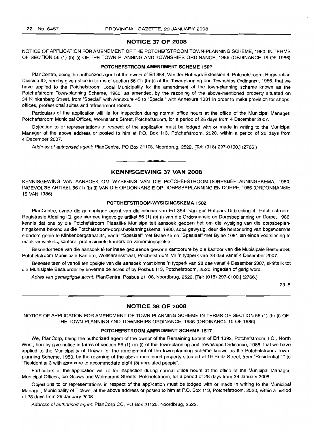### **NOTICE 37 OF 2008**

NOTICE OF APPLICATION FOR AMENDMENT OF THE POTCHEFSTROOM TOWN-PLANNING SCHEME, 1980, IN TERMS OF SECTION 56 (1) (b) (i) OF THE TOWN-PLANNING AND TOWNSHIPS ORDINANCE, 1986 (ORDINANCE 15 OF 1986)

#### **POTCHEFSTROOM AMENDMENT SCHEME 1502**

PlanCentre, being the authorized agent of the owner of Erf 354, Van der Hoffpark Extension 4, Potchefstroom, Registration Division IQ, hereby give notice in terms of section 56 (1) (b) (i) of the Town-planning and Townships Ordinance, 1986, that we have applied to the Potchefstroom Local Municipality for the amendment of the town-planning scheme known as the Potchefstroom Town-planning Scheme, 1980, as amended, by the rezoning of the above-mentioned property situated on 34 Klinkenberg Street, from "Special" with Annexure 45 to "Special" with Annexure 1081 in order to make provision for shops, offices, professional suites and refreshment rooms.

Particulars of the application will lie for inspection during normal office hours at the office of the Municipal Manager, Potchefstroom Municipal Offices, Wolmarans Street, Potchefstroom, for a period of 28 days from 4 December 2007.

Objection to or representations in respect of the application must be lodged with or made in writing to the Municipal Manager at the above address or posted to him at P.O. Box 113, Potchefstroom, 2520, within a period of 28 days from 4 December 2007.

Address of authorised agent: PlanCentre, PO Box 21108, Noordbrug, 2522. [Tel: (018) 297-0100.] (2766.)

# **KENNISGEWING 37 VAN 2008**

**• •**

KENNISGEWING VAN AANSOEK OM WYSIGING VAN DIE POTCHEFSTROOM-DORPSBEPLANNINGSKEMA, 1980, INGEVOLGE ARTIKEL 56 (1) (b) (i) VAN DIE ORDONNANSIE OP DORPSBEPLANNING EN DORPE, 1986 (ORDONNANSIE 15 VAN 1986)

# **POTCHEFSTROOM-WYSIGINGSKEMA 1502**

PlanCentre, synde die gemagtigde agent van die eienaar van Erf 354, Van der Hoffpark Uitbreiding 4, Potchefstroom, Registrasie Afdeling IQ, gee hiermee ingevolge artikel 56 (1) (b) (i) van die Ordonnansie op Dorpsbeplanning en Dorpe, 1986, kennis dat ons by die Potchefstroom Plaaslike Munisipaliteit aansoek gedoen het om die wysiging van die dorpsbeplanningskema bekend as die Potchefstroom-dorpsbeplanningskema, 1980, soos gewysig, deur die hersonering van bogenoemde eiendom geleë te Klinkenbergstraat 34, vanaf "Spesiaal" met Bylae 45 na "Spesiaal" met Bylae 1081 ten einde voorsiening te maak vir winkels, kantore, professionele kamers en verversingsplekke.

Besonderhede van die aansoek lê ter insae gedurende gewone kantoorure by die kantoor van die Munisipale Bestuurder, Potchefstroom Munisipale Kantore, Wolmaransstraat, Potchefstroom, vir 'n tydperk van 28 dae vanaf 4 Desember 2007.

Besware teen of vertoe ten opsigte van die aansoek moet binne 'n tydperk van 28 dae vanaf 4 Desember 2007, skriftelik tot die Munisipale Bestuurder by bovermelde adres of by Posbus 113, Potchefstroom, 2520, ingedien of gerig word.

Adres van gemagtigde agent: PlanCentre, Posbus 21108, Noordbrug, 2522. [Tel: (018) 297-0100.] (2766.)

29-5

# **NOTICE 38 OF 2008**

NOTICE OF APPLICATION FOR AMENDMENT OF TOWN-PLANNING SCHEME IN TERMS OF SECTION 56 (1) (b) (i) OF THE TOWN-PLANNING AND TOWNSHIPS ORDINANCE, 1986 (ORDINANCE 15 OF 1986)

#### **POTCHEFSTROOM AMENDMENT SCHEME 1517**

We, PlanCorp, being the authorized agent of the owner of the Remaining Extent of Erf 1392, Potchefstroom, I.Q., North West, hereby give notice in terms of section 56 (1) (b) (i) of the Town-planning and Townships Ordinance, 1986, that we have applied to the Municipality of Tlokwe for the amendment of the town-planning scheme known as the Potchefstroom Townplanning Scheme, 1980, by the rezoning of the above-mentioned property situated at 19 Reitz Street, from "Residential 1" to "Residential 3 with annexure to accommodate eight (8) unrelated people".

Particulars of the application will lie for inspection during normal office hours at the office of the Municipal Manager, Municipal Offices, c/o Gouws and Wolmarans Streets, Potchefstroom, for a period of 28 days from 29 January 2008.

Objections to or representations in respect of the application must be lodged with or made in writing to the Municipal Manager, Municipality of Tlokwe, at the above address or posted to him at P.O. Box 113, Potchefstroom, 2520, within a period of 28 days from 29 January 2008.

Address of authorised agent: PlanCorp CC, PO Box 21126, Noordbrug, 2522.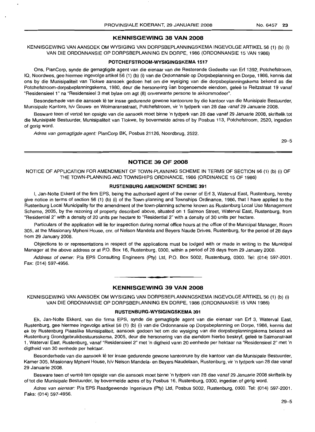# **KENNISGEWING 38 VAN 2008**

KENNISGEWING VAN AANSOEK OM WYSIGING VAN DORPSBEPLANNINGSKEMA INGEVOLGE ARTIKEL 56 (1) (b) (i) VAN DIE ORDONNANSIE OP DORPSBEPLANNING EN DORPE, 1986 (ORDONNANSIE 15 VAN 1986)

#### **POTCHEFSTROOM-WYSIGINGSKEMA 1517**

Ons, PlanCorp, synde die gemagtigde agent van die eienaar van die Resterende Gedeelte van Erf 1392, Potchefstroom, IQ, Noordwes, gee hiermee ingevolge artikel 56 (1) (b) (i) van die Ordonnansie op Dorpsbeplanning en Dorpe, 1986, kennis dat ons by die Munisipaliteit van Tlokwe aansoek gedoen het om die wysiging van die dorpsbeplanningskema bekend as die Potchefstroom-dorpsbeplanningskema, 1980, deur die hersonering van bogenoemde eiendom, geleë te Reitzstraat 19 vanaf "Residensieel 1" na "Residensieel 3 met bylae om agt (8) onverwante persone te akkommodeer".

Besonderhede van die aansoek lê ter insae gedurende gewone kantoorure by die kantoor van die Munisipale Bestuurder, Munisipale Kantore, hlv Gouws- en Wolmaransstraat, Potchefstroom, vir 'n tydperk van 28 dae vanaf 29 Januarie 2008.

Besware teen of vertoe ten opsigte van die aansoek moet binne 'n tydperk van 28 dae vanaf 29 Januarie 2008, skriftelik tot die Munisipale Bestuurder, Munisipaliteit van Tlokwe, by bovermelde adres of by Posbus 113, Potchefstroom, 2520, ingedien of gerig word.

Adres van gemagtigde agent: PlanCorp BK, Posbus 21126, Noordbrug, 2522.

29-5

# **NOTICE 39 OF 2008**

NOTICE OF APPLICATION FOR AMENDMENT OF TOWN-PLANNING SCHEME IN TERMS OF SECTION 56 (1) (b) (i) OF THE TOWN-PLANNING AND TOWNSHIPS ORDINANCE, 1986 (ORDINANCE 15 OF 1986)

#### **RUSTENBURG AMENDMENT SCHEME 391**

I, Jan-Nolte Ekkerd of the firm EPS, being the authorised agent of the owner of Erf 3, Waterval East, Rustenburg, hereby give notice in terms of section 56 (1) (b) (i) of the Town-planning and Townships Ordinance, 1986, that I have applied to the Rustenburg Local Municipality for the amendment of the town-planning scheme known as Rustenburg Local Use Management Scheme, 2005, by the rezoning of property described above, situated on 1 Salmon Street, Waterval East, Rustenburg, from "Residential 2" with a density of 20 units per hectare to "Residential 2" with a density of 30 units per hectare.

Particulars of the application will lie for inspection during normal office hours at the office of the Municipal Manager, Room 305, at the Missionary Mpheni House, cnr, of Nelson Mandela and Beyers Naude Drives, Rustenburg, for the period of 28 days from 29 January 2008.

Objections to or representations in respect of the applications must be lodged with or made in writing to the Municipal Manager at the above address or at P.O. Box 16, Rustenburg, 0300, within a period of 28 days from 29 January 2008.

Address of owner: P/a EPS Consulting Engineers (Pty) Ltd, P.O. Box 5002, Rustenburg, 0300. Tel: (014) 597-2001. Fax: (014) 597-4956.

# **KENNISGEWING 39 VAN 2008**

**• •**

KENNISGEWING VAN AANSOEK OM WYSIGING VAN DORPSBEPLANNINGSKEMA INGEVOLGE ARTIKEL 56 (1) (b) (i) VAN DIE ORDONNANSIE OP DORPSBEPLANNING EN DORPE, 1986 (ORDONNANSIE 15 VAN 1986)

### **RUSTENBURG-WYSIGINGSKEMA 391**

Ek, Jan-Nolte Ekkerd, van die firma EPS, synde die gemagtigde agent van die eienaar van Erf 3, Waterval East, Rustenburg, gee hiermee ingevolge artikel 56 (1) (b) (i) van die Ordonnansie op Dorpsbeplanning en Dorpe, 1986, kennis dat ek by Rustenburg Plaaslike Munisipaliteit, aansoek gedoen het om die wysiging van die dorpsbeplanningskema bekend as Rustenburg Grondgebruikbestuursskema, 2005, deur die hersonering van die eiendom hierbo beskryf, geleë te Salmonstraat 1, Waterval East, Rustenburg, vanaf "Residensieel 2" met 'n digtheid vann 20 eenhede per hektaar na "Residensieel 2" met 'n digtheid van 30 eenhede per hektaar.

Besonderhede van die aansoek lê ter insae gedurende gewone kantoorure by die kantoor van die Munisipale Bestuurder, Kamer 305, Missionary Mpheni House, h/v Nelson Mandela- en Beyers Naudelaan, Rustenburg, vir 'n tydperk van 28 dae vanaf 29 Januarie 2008.

Besware teen of vertoë ten opsigte van die aansoek moet binne 'n tydperk van 28 dae vanaf 29 Januarie 2008 skriftelik by of tot die Munisipale Bestuurder, by bovermelde adres of by Posbus 16, Rustenburg, 0300, ingedien of gerig word.

Adres van eienaar: P/a EPS Raadgewende Ingenieurs (Pty) Ltd, Posbus 5002, Rustenburg, 0300. Tel: (014) 597-2001. Faks: (014) 597-4956.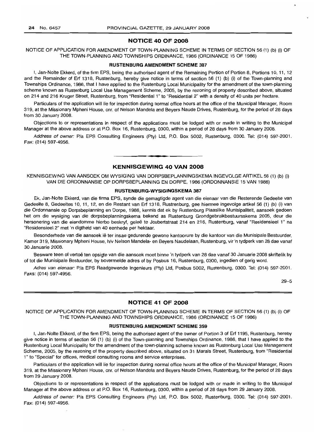# **NOTICE 40 OF 2008**

# NOTICE OF APPLICATION FOR AMENDMENT OF TOWN-PLANNING SCHEME IN TERMS OF SECTION 56 (1) (b) (i) OF THE TOWN-PLANNING AND TOWNSHIPS ORDINANCE, 1986 (ORDINANCE 15 OF 1986)

#### **RUSTENBURG AMENDMENT SCHEME 387**

I, Jan-Nolte Ekkerd, of the firm EPS, being the authorised agent of the Remaining Portion of Portion 8, Portions 10, 11, 12 and the Remainder of Erf 1318, Rustenburg, hereby give notice in terms of section 56 (1) (b) (i) of the Town-planning and Townships Ordinance, 1986, that I have applied to the Rustenburq Local Municipality for the amendment of the town-planning scheme known as Rustenburg Local Use Management Scheme, 2005, by the rezoning of property described above, situated on 214 and 216 Kruger Street, Rustenburg, from "Residential 1" to "Residential 2" with a density of 40 units per hectare.

Particulars of the application will lie for inspection during normal office hours at the office of the Municipal Manager, Room 319, at the Missionary Mpheni House, em. of Nelson Mandela and Beyers Naude Drives, Rustenburg, for the period of 28 days from 30 January 2008.

Objections to or representations in respect of the applications must be lodged with or made in writing to the Municipal Manager at the above address or at P.O. Box 16, Rustenburg, 0300, within a period of 28 days from 30 January 2008.

Address of owner: Pia EPS Consulting Engineers (Pty) Ltd, P.O. Box 5002, Rustenburg, 0300. Tel: (014) 597-2001. Fax: (014) 597-4956.

# **KENNISGEWING 40 VAN 2008**

**• •**

KENNISGEWING VAN AANSOEK OM WYSIGING VAN DORPSBEPLANNINGSKEMA INGEVOLGE ARTIKEL 56 (1) (b) (i) VAN DIE ORDONNANSIE OP DORPSBEPLANNING EN DORPE, 1986 (ORDONNANSIE 15 VAN 1986)

#### **RUSTENBURG-WYSIGINGSKEMA 387**

Ek, Jan-Nolte Ekkerd, van die firma EPS, synde die gemagtigde agent van die eienaar van die Resterende Gedeelte van Gedeelte 8, Gedeeltes 10, 11, 12, en die Restant van Erf 1318, Rustrenburg, gee hiermee ingevolge artikel 56 (1) (b) (i) van die Ordonnansie op Dorpsbeplanning en Dorpe, 1986, kennis dat ek by Rustenburg Plaaslike Munisipaliteit, aansoek gedoen het om die wysiging van die dorpsbeplanningskema bekend as Rustenburg Grondgebruikbestuursskema 2005, deur die hersonering van die eiendomme hierbo beskryf, geleë te Joubertstraat 214 en 216, Rustenburg, vanaf "Residensieel 1" na "Residensieel 2" met 'n digtheid van 40 eenhede per hektaar.

Besonderhede van die aansoek lê ter insae gedurende gewone kantoorure by die kantoor van die Munisipale Bestuurder, Kamer 319, Missionary Mpheni House, h/v Nelson Mandela- en Beyers Naudelaan, Rustenburg, vir 'n tydperk van 28 dae vanaf 30 Januarie 2008.

Besware teen of vertoë ten opsigte van die aansoek moet binne 'n tydperk van 28 dae vanaf 30 Januarie 2008 skriftelik by of tot die Munisipale Bestuurder, by bovermelde adres of by Posbus 16, Rustenburg, 0300, ingedien of gerig word.

Adres van eienaar: Pia EPS Raadgewende Ingenieurs (Pty) Ltd, Posbus 5002, Rustenburg, 0300. Tel: (014) 597-2001. Faks: (014) 597-4956.

29-5

# **NOTICE 41 OF 2008**

NOTICE OF APPLICATION FOR AMENDMENT OF TOWN-PLANNING SCHEME IN TERMS OF SECTION 56 (1) (b) (i) OF THE TOWN-PLANNING AND TOWNSHIPS ORDINANCE, 1986 (ORDINANCE 15 OF 1986)

#### **RUSTENBURG AMENDMENT SCHEME 359**

I, Jan-Nolte Ekkerd, of the firm EPS, being the authorised agent of the owner of Portion 3 of Erf 1195, Rustenburg, hereby give notice in terms of section 56 (1) (b) (i) of the Town-planning and Townships Ordinance, 1986, that I have applied to the Rustenburg Local Municipality for the amendment of the town-planning scheme known as Rustenburg Local Use Management Scheme, 2005, by the rezoning of the property described above, situated on 31 Marais Street, Rustenburg, from "Residential 1" to "Special" for offices, medical consulting rooms and service enterprises.

Particulars of the application will lie for inspection during normal office hours at the office of the Municipal Manager, Room 319, at the Missionary Mpheni House, em. of Nelson Mandela and Beyers Naude Drives, Rustenburg, for the period of 28 days from 29 January 2008.

Objections to or representations in respect of the applications must be lodged with or made in writing to the Municipal Manager at the above address or at P.O. Box 16, Rustenburg, 0300, within a period of 28 days from 29 January 2008.

Address of owner: Pia EPS Consulting Engineers (Pty) Ltd, P.O. Box 5002, Rustenburg, 0300. Tel: (014) 597-2001. Fax: (014) 597-4956.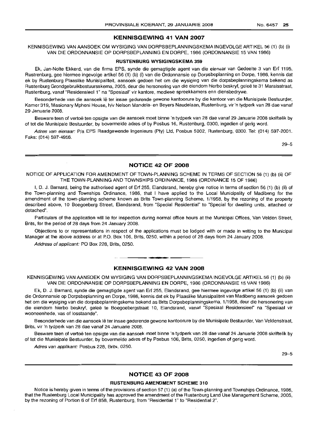# **KENNISGEWING 41 VAN 2007**

KENNISGEWING VAN AANSOEK OM WYSIGING VAN DORPSBEPLANNINGSKEMA INGEVOLGE ARTIKEL 56 (1) (b) (i) VAN DIE ORDONNANSIE OP DORPSBEPLANNING EN DORPE, 1986 (ORDONNANSIE 15 VAN 1986)

#### **RUSTENBURG WYSIGINGSKEMA 359**

Ek, Jan-Nolte Ekkerd, van die firma EPS, synde die gemagtigde agent van die eienaar van Gedeelte 3 van Erf 1195, Rustrenburg, gee hiermee ingevolge artikel 56 (1) (b) (i) van die Ordonnansie op Dorpsbeplanning en Dorpe, 1986, kennis dat ek by Rustenburg Plaaslike Munisipaliteit, aansoek gedoen het om die wysiging van die dorpsbeplanningskema bekend as Rustenburg Grondgebruikbestuursskema, 2005, deur die hersonering van die eiendom hierbo beskryf, gelee te 31 Maraisstraat, Rustenburg, vanaf "Residensieel 1" na "Spesiaal" vir kantore, mediese spreekkamers enn diensbedrywe.

Besonderhede van die aansoek lê ter insae gedurende gewone kantoorure by die kantoor van die Munisipale Bestuurder, Kamer 319, Missionary Mpheni House, h/v Nelson Mandela- en Beyers Naudelaan, Rustenburg, vir'n tydperk van 28 dae vanaf 29 Januarie 2008.

Besware teen of vertoe ten opsigte van die aansoek moet binne 'n tydperk van 28 dae vanaf 29 Januarie 2008 skriftelik by of tot die Munisipale Bestuurder, by bovermelde adres of by Posbus 16, Rustenburg, 0300, ingedien of gerig word.

Adres van eienaar: Pia EPS Raadgewende Ingenieurs (Pty) Ltd, Posbus 5002, Rustenburg, 0300. Tel: (014) 597-2001. Faks: (014) 597-4956.

29-5

# **NOTICE 42 OF 2008**

NOTICE OF APPLICATION FOR AMENDMENT OF TOWN-PLANNING SCHEME IN TERMS OF SECTION 56 (1) (b) (ii) OF THE TOWN-PLANNING AND TOWNSHIPS ORDINANCE, 1986 (ORDINANCE 15 OF 1986)

I, D. J. Barnard, being the authorised agent of Erf 255, Elandsrand, hereby give notice in terms of section 56 (1) (b) (ii) of the Town-planning and Townships Ordinance, 1986, that I have applied to the Local Municipality of Madibeng for the amendment of the town-planning scheme known as Brits Town-planning Scheme, 1/1958, by the rezoning of the property described above, 10 Boegoeberg Street, Elandsrand, from "Special Residential" to "Special for dwelling units, attached or detached".

Particulars of the application will lie for inspection during normal office hours at the Municipal Offices, Van Velden Street, Brits, for the period of 28 days from 24 January 2008.

Objections to or representations in respect of the applications must be lodged with or made in writing to the Municipal Manager at the above address or at P.O. Box 106, Brits, 0250, within a period of 28 days from 24 January 2008.

Address of applicant: PO Box 228, Brits, 0250.

### **KENNISGEWING 42 VAN 2008**

.**- .**

KENNISGEWING VAN AANSOEK OM WYSIGING VAN DORPSBEPLANNINGSKEMA INGEVOLGE ARTIKEL 56 (1) (b) (ii) VAN DIE ORDONNANSIE OP DORPSBEPLANNING EN DORPE, 1986 (ORDONNANSIE 15 VAN 1986)

Ek, D. J. Barnard, synde die gemagtigde agent van Erf 255, Elandsrand, gee hiermee ingevolge artikel 56 (1) (b) (ii) van die Ordonnansie op Dorpsbeplanning en Dorpe, 1986, kennis dat ek by Plaaslike Munisipaliteit van Madibeng aansoek gedoen het om die wysiging van die dorpsbeplanningskema bekend as Brits Dorpsbeplanningskema, 1/1958, deur die hersonering van die eiendom hierbo beskryf, geleë te Boegoebergstraat 10, Elandsrand, vanaf "Spesiaal Residensieel" na "Spesiaal vir wooneenhede, vas of losstaande".

Besonderhede van die aansoek lê ter insae gedurende gewone kantoorure by die Munisipale Bestuurder, Van Veldenstraat, Brits, vir 'n tydperk van 28 dae vanaf 24 Januarie 2008.

Besware teen of vertoë ten opsigte van die aansoek moet binne 'n tydperk van 28 dae vanaf 24 Januarie 2008 skriftelik by of tot die Munisipale Bestuurder, by bovermelde adres of by Posbus 106, Brits, 0250, ingedien of gerig word.

Adres van applikant: Posbus 228, Brits, 0250.

29-5

# **NOTICE 43 OF 2008**

#### **RUSTENBURG AMENDMENT SCHEME 310**

Notice is hereby given in terms of the provisions of section 57 (1) (a) of the Town-planning and Townships Ordinance, 1986, that the Rustenburg Local Municipality has approved the amendment of the Rustenburg Land Use Management Scheme, 2005, by the rezoning of Portion 6 of Erf 858, Rustenburg, from "Residential 1" to "Residential 2".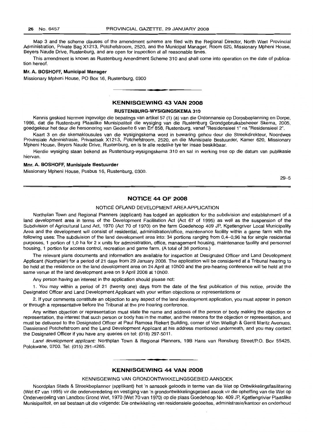Map 3 and the scheme clauses of the amendment scheme are filed with the Regional Director, North West Provincial Administration, Private Bag X1213, Potchefstroom, 2520, and the Municipal Manager, Room 620, Missionary Mpheni House, Beyers Naude Drive, Rustenburg, and are open for inspection at all reasonable times.

This amendment is known as Rustenburg Amendment Scheme 310 and shall come into operation on the date of publication hereof.

# **Mr. A. BOSHOFF, Municipal Manager**

Missionary Mpheni House, PO Box 16, Rustenburg, 0300

# **KENNISGEWING 43 VAN 2008**

**•**

#### **RUSTENBURG-WYSIGINGSKEMA 310**

Kennis geskied hiermee ingevolge die bepalings van artikel 57 (1) (a) van die Ordonnansie op Dorpsbeplanning en Dorpe, 1986, dat die Rustenburg Plaaslike Munisipaliteit die wysiging van die Rustenburg Grondgebruiksbeheeer Skema, 2005, goedgekeur het deur die hersonering van Gedeelte 6 van Erf 858, Rustenburg, vanaf "Residensieel 1" na "Residensieel 2".

Kaart 3 en die skemaklousules van die wysigingskema word in bewaring gehou deur die Streekdirekteur, Noordwes Provinsiale Administrasie, Privaatsak X1213, Potchefstroom, 2520, en die Munisipale Bestuurder, Kamer 620, Missionary Mpheni House, Beyers Naude Drive, Rustenburg, en is te aile redelike tye ter insae beskikbaar.

Hierdie wysiging staan bekend as Rustenburg-wysigingskema 310 en sal in werking tree op die datum van publikasie hiervan.

#### **Mm. A. BOSHOFF, Munisipale Bestuurder**

Missionary Mpheni House, Posbus 16, Rustenburg, 0300.

29-5

# **NOTICE 44 OF 2008**

# NOTICE OFLAND DEVELOPMENT AREA APPLICATION

Northplan Town and Regional Planners (applicant) has lodged an application for the subdivision and establishment of a land development area in terms of the Development Facilitation Act (Act 67 of 1995) as well as the suspension of the Subdivision of Agricultural Land Act, 1970 (Act 70 of 1970) on the farm Goedehoop 409 JP, Kgetlengriver Local Municipality Area and the development will consist of residential, administration/office, maintenance facility within a game farm with the following uses: The subdivision of the land development area into: 34 portions ranging from 0,4-0,96 ha for single residential purposes, 1 portion of 1,0 ha for 2 x units for administration, office, management housing, maintenance facility and personnel housing, 1 portion for access control, recreation and game farm. (A total of 36 portions.)

The relevant plans documents and information are available for inspection at Designated Officer and Land Development Applicant (Northplan) for a period of 21 days from 29 January 2008. The application will be considered at a Tribunal hearing to be held at the residence on the land development area on 24 April at 1OhOO and the pre-hearing conference will be held at the same venue at the land development area on 9 April 2008 at 10hOO.

Any person having an interest in the application should please not:

1. You may within a period of 21 (twenty one) days from the date of the first publication of this notice, provide the Designated Officer and Land Development Applicant with your written objections or representations or

2. If your comments constitute an objection to any aspect of the land development application, you must appear in person or through a representative before the Tribunal at the pre hearing conference.

Any written objection or representation must state the name and address of the person or body making the objection or representation, the interest that such person or body has in the matter, and the reasons for the objection or representation, and must be delivered to the Designated Officer at Paul Ramosa Riekert Building, corner of Von Wielligh & Gerrit Maritz Avenues, Dassierand Potchefstroom and the Land Development Applicant at his address mentioned underneath, and you may contact the Designated Officer if you have any queries on tel: (018) 297-5011.

Land development applicant: Northplan Town & Regional Planners, 19B Hans van Rensburg Street/P.O. Box 55425, Polokwane, 0700. Tel: (015) 291-4265.

# **• KENNISGEWING 44 VAN 2008**

#### KENNISGEWING VAN GRONDONTWIKKELINGSGEBIED AANSOEK

Noordplan Stads & Streekbeplanner (applikant) het 'n aansoek geloods in terme van die Wet op Ontwikkelingsfasilitering (Wet 67 van 1995) vir die onderveredeling en vestiging van 'n grondontwikkelingsgebied asook vir die opheffing van die Wet op Onderverdeling van Landbou Grond Wet, 1970 (Wet 70 van 1970) op die plaas Goedehoop No. 409 JP, Kgetlengrivier Plaaslike Munisipaliteit, en sal bestaan uit die volgende: Die ontwikkeling van residensiele gedeeltes, administrasie/kantoor en onderhoud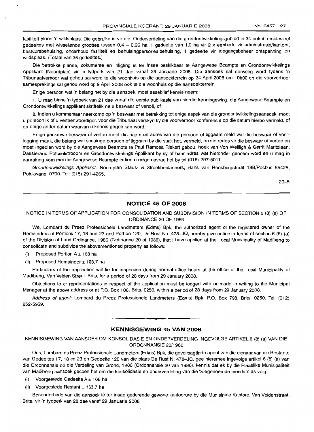fasiliteit binne 'n wildsplaas. Die gebruike is vir die: Onderverdeling van die grondontwikkelingsgebied in 34 enkel- residesieel gedeeltes met wissellende groottes tussen  $0.4 - 0.96$  ha, 1 gedeelte van 1,0 ha vir 2 x eenhede vir adminstrasie/kantoor, bestuursbehuising, onderhoud fasiliteit en behuisingpersoneelbehuising, 1 gedeelte vir toegangsbeheer ontspanning en wildsplaas. (Totaal van 36 gedeeltes.)

Die betrokke planne, dokumente en inligting is ter insae beskikbaar te Aangewese Beampte en Grondontwikkelings Applikant (Noordplan) vir 'n tydperk van 21 dae vanaf 29 Januarie 2008. Die aansoek sal oorweeg word tydens 'n Tribunaalverhoor wat gehou sal word te die woonhuis op die aansoekterrein op 24 April 2008 om 10hOO en die voorverhoor samesprekings sal gehou word op 9 April 2008 ook te die woonhuis op die aansoekterrein.

Enige persoon wat 'n belang het by die aansoek, moet asseblief kennis neem:

1. U mag binne 'n tydperk van 21 dae vanaf die eerste publikasie van hierdie kennisgewing, die Aangewese Beampte en Grondontwikkelings applikant skriftelik na u beswaar of vertoë, of

2. Indien u kommentaar neerkomp op 'n beswaar met betrekking tot enige aspek van die grondontwikkelingsaansoek, moet u persoonlik of u verteenwoordiger, voor die Tribunaal verskyn by die voorverhoor konferensie op die datum hierbo vermeld, of op enige ander datum waarvan u kennis gegee kan word.

Enige geskrewe beswaar of vertoe moet die naam en adres van die persoon of liggaam meld wat die beswaar of voorlegging maak, die belang wat sodainge persoon of liggaam by die saak het, vermeld, en die redes vir die beswaar of vertoë en moet ingedien word by die Aangewese Beampte te Paul Ramosa Riekert gebou, hoek van Von Weilligh & Gerrit Maritzlaan, Dassierand Potchefstrooom en Grondontwikkelings Applikant by sy of haar adres wat hieronder genoem word en u mag in aanraking kom met die Aangewese Beampte indien u enige navrae het by tel (018) 297-5011.

Grondontwikkelings Appliaknt: Noordplan Stads- & Streekbeplanners, Hans van Rensburgstraat 19B/Posbus 55425, Polokwane, 0700. Tel: (015) 291-4265.

29-5

# **NOTICE 45 OF 2008**

# NOTICE IN TERMS OF APPLICATION FOR CONSOLIDATION AND SUBDIVISION IN TERMS OF SECTION 6 (8) (a) OF ORDINANCE 20 OF 1986

We, Lombard du Preez Professionele Landmeters (Edms) Bpk, the authorized agent ot the registered owner of the Remainders of Portions 17, 18 and 23 and Portion 120, De Rust No. 478-JQ, hereby give notice in terms of section 6 (8) (a) of the Division of Land Ordinance, 1986 (Ordinance 20 of 1986), that I have applied at the Local Municipality of Madibeng to consolidate and subdivide the abovementioned property as follows:

- (i) Proposed Portion  $A \pm 168$  ha
- (ii) Proposed Remainder  $\pm$  163,7 ha

Particulars of the application will lie for inspection during normal office hours at the office of the Local Municipality of Madibeng, Van Velden Street. Brits, for a period of 28 days from 29 January 2008.

Objections to or representations in respect of the application must be lodged with or made in writing to the Municipal Manager at the above address or at P.O. Box 106, Brits, 0250, within a period of 28 days from 29 January 2008.

Address of agent: Lombard du Preez Professionele Landmeters (Edms) Bpk, P.O. Box 798, Brits, 0250. Tel: (012) 252-5959.

#### **KENNISGEWING 45 VAN 2008**

**.-**

KENNISGEWING VAN AANSOEK OM KONSOLIDASIE EN ONDERVERDELING INGEVOLGE ARTIKEL 6 (8) (a) VAN DIE ORDONNANSIE 20/1986

Ons, Lombard du Preez Professionele Landmeters (Edms) Bpk, die gevolmagtigde agent van die eienaar van die Restante van Gedeeltes 17, 18 en 23 en Gedeelte 120 van die plaas De Rust N. 478-JQ, gee hieremee ingevolge artikel 6 (8) (a) van die Ordonnansie op die Verdeling van Grond, 1986 (Ordonnansie 20 van 1986), kennis dat ek by die Plaaslike Munisipaliteit van Madibeng aansoek gedoen het om die konsolidasie en onderverdeling van die boegenoemde eiendom as volg:

- (i) Voorgestede Gedeelte  $A \pm 168$  ha
- (ii) Voorgestede Restant  $\pm$  163,7 ha

Besonderhede van die aansoek lê ter insae gedurende gewone kantoorure by die Munisipale Kantore, Van Veldenstraat, Brits, vir 'n tydperk van 28 dae vanaf 29 Januarie 2008.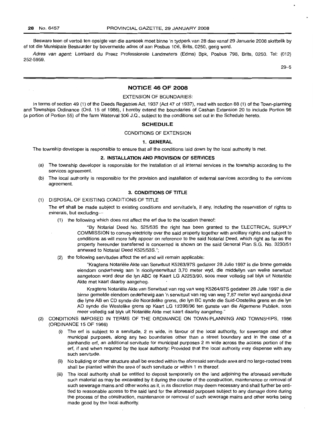Besware teen of vertoe ten opsigte van die aansoek moet binne 'n tydperk van 28 dae vanaf 29 Januarie 2008 skriftelik by of tot die Munisipale Bestuurder by bovermelde adres of aan Posbus 106, Brits, 0250, gerig word.

Adres van agent: Lombard du Preez Professionele Landmeters (Edms) Bpk, Posbus 798, Brits, 0250. Tel: (012) 252-5959.

29-5

# **NOTICE** 46 OF 2008

#### EXTENSION OF BOUNDARIES:

In terms of section 49 (1) of the Deeds Registries Act, 1937 (Act 47 of 1937), read with section 88 (1) of the Town-planning and Townships Ordinance (Ord. 15 of 1986), I hereby extend the boundaries of Cashan Extension 20 to include Portion 98 (a portion of Portion 55) of the farm Waterval 306 J.Q., subject to the conditions set out in the Schedule hereto.

#### **SCHEDULE**

#### CONDITIONS OF EXTENSION

#### 1. GENERAL

The township developer is responsible to ensure that all the conditions laid down by the local authority is met

#### 2. INSTALLATION AND PROVISION OF SERVICES

- (a) The township developer is responsible for the installation of all internal services in the township according to the services agreement
- (b) The local authority is responsible for the provision and installation of external services according to the services agreement.

# 3. CONDITIONS OF TITLE

# (1) DISPOSAL OF EXISTING CONDITIONS OF TITLE

The ert shall be made subject to existing conditions and servitude's, if any, including the reservation of rights to minerals, but excluding-

(1) the following which does not affect the ert due to the location thereof:

"By Notarial Deed No. 525/538 the right has been granted to the ELECTRICAL SUPPLY COMMISSION to convey electricity over the said property together with ancillary rights and subject to conditions as will more fully appear on reference to the said Notarial Deed, which right as far as the property hereunder transferred is concerned is shown on the said General Plan S.G. No. 3230/51 annexed to Notarial Deed K525/53S.";

(2) the following servitudes affect the ert and will remain applicable:

"Kragtens Notariele Akte van Serwituut K5263/97S gedateer 28 Julie 1997 is die binne gemelde eiendom onderhewig aan 'n rioollynserwituut 3,70 meter wyd, die middellyn van welke serwituut aangetoon word deur die Iyn ABC op Kaart LG A2253/90, soos meer volledig sal blyk uit Notariele Akte met kaart daarby aangeheg.

Kragtens Notariele Akte van Serwituut van reg van weg K5264/97S gedateer 28 Julie 1997 is die binne gemelde eiendom onderhewig aan 'n serwituut van reg van weg 7,87 meter wyd aangedui deur die Iyne AB en CD synde die Noordelike grens, die Iyn BC synde die Suid-Oostelike grens en die Iyn AD synde die Westelike grens op Kaart LG 12398/96 ten gunste van die Algemene Publiek, soos meer volledig sal blyk uit Notariele Akte met kaart daarby aangeheg."

- (2) CONDITIONS IMPOSED IN TERMS OF THE ORDINANCE ON TOWN-PLANNING AND TOWNSHIPS, 1986 (ORDINANCE 15 OF 1986)
	- (i) The ert is subject to a servitude, 2 m wide, in favour of the local authority, for sewerage and other municipal purposes, along any two boundaries other than a street boundary and in the case of a panhandle ert, an additional servitude for municipal purposes 2 m wide across the access portion of the ert, if and when required by the local authority: Provided that the local authority may dispense with any such servitude.
	- (ii) No building or other structure shall be erected within the aforesaid servitude area and no large-rooted trees shall be planted within the area of such servitude or within 1 m thereof.
	- (iii) The local authority shall be entitled to deposit temporarily on the land adjoining the aforesaid servitude such material as may be excavated by it during the course of the construction, maintenance or removal of such sewerage mains and other works as it, in its discretion may deem necessary and shall further be entitled to reasonable access to the said land for the aforesaid purposes subject to any damage done during the process of the construction, maintenance or removal of such sewerage mains and other works being made good by the local authority.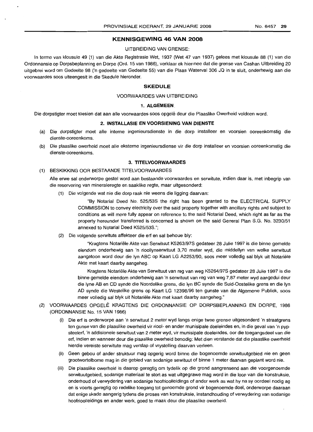# **KENNISGEWING 46 VAN 2008**

#### UITBREIDING VAN GRENSE:

In terme van klousule 49 (1) van die Akte Registrasie Wet, 1937 (Wet 47 van 1937) gelees met klousule 88 (1) van die Ordonnansie op Dorpsbeplanning en Dorpe (Ord. 15 van 1986), verklaar ek hiermee dat die grense van Cashan Uitbreiding 20 uitgebrei word om Gedeelte 98 ('n gedeelte van Gedeelte 55) van die Plaas Waterval 306 JQ in te sluit, onderhewig aan die voorwaardes soos uiteengesit in die Skedule hieronder.

#### **SKEDULE**

#### VOORWAARDES VAN UITBREIDING

#### 1. **ALGEMEEN.**

Die dorpstigter moet toesien dat aan aile voorwaardes soos opqele deur die Plaaslike Owerheid voldoen word.

#### 2. **INSTALLASIE EN VOORSIENING VAN DIENSTE**

- (a) Die dorpstigter moet aile interne ingenieursdienste in die dorp installeer en voorsien ooreenkomstig die dienste-ooreenkoms.
- (b) Die plaaslike owerheid moet aile eksterne ingenieursdiense vir die dorp installeer en voorsien ooreenkomstig die dienste-ooreenkoms.

# 3. **TITELVOORWAARDES**

(1) BESKIKKING OOR BESTAANDE TITELVOORWAARDES

Aile erwe sal onderworpe gestel word aan bestaande voorwaardes en serwitute, indien daar is, met inbegrip van die reservering van mineraleregte en saaklike regte, maar uitgesonderd:

(1) Die volgende wat nie die dorp raak nie weens die ligging daarvan:

"By Notarial Deed No. 525/538 the right has been granted to the ELECTRICAL 8UPPLY COMMISSION to convey electricity over the said property together with ancillary rights and subject to conditions as will more fully appear on reference to the said Notarial Deed, which right as far as the property hereunder transferred is concerned is shown on the said General Plan 8.G. No. 3230/51 annexed to Notarial Deed K525/538.";

(2) Die volgende serwitute aftekteer die ert en sal behoue bly:

"Kragtens Notariele Akte van 8erwituut K5263/97S gedateer 28 Julie 1997 is die binne gemelde eiendom onderhewig aan 'n rioollynserwituut 3,70 meter wyd, die middellyn van welke serwituut aangetoon word deur die Iyn ABC op Kaart LG A2253/90, soos meer volledig sal blyk uit Notariele Akte met kaart daarby aangeheg.

Kragtens Notariele Akte van Serwituut van reg van weg K5264/978 gedateer 28 Julie 1997 is die binne gemelde eiendom onderhewig aan 'n serwituut van reg van weg 7,87 meter wyd aangedui deur die Iyne AB en CD synde die Noordelike grens, die Iyn BC synde die 8uid-Oostelike grens en die Iyn AD synde die Westelike grens op Kaart LG 12398/96 ten gunste van die Aigemene Publiek, soos meer volledig sal blyk uit Notariële Akte met kaart daarby aangeheg."

- (2) VOORWAARDE8 OPGELE KRAGTENS DIE ORDONNANSIE OP DORPSBEPLANNING EN DORPE, 1986 (ORDONNANSIE No. 15 VAN 1986)
	- (i) Die ert is onderworpe aan 'n serwituut 2 meter wyd langs enige twee grense uitgesonderd 'n straatgrens ten gunse van die plaaslike owerheid vir riool- en ander munisipale doeleindes en, in die geval van 'n pypsteelert, 'n addisionele serwituut van 2 meter wyd, vir munisipale doeleindes, oor die toegangsdeel van die ert, indien en wanneer deur die plaaslike owerheid benodig: Met dien verstande dat die plaaslike owerheid hierdie vereiste serwitute mag verslap of vrystelling daarvan verleen.
	- (ii) Geen gebou of ander struktuur mag opgerig word binne die bogenoemde serwituutgebied nie en geen grootwortelbome mag in die gebied van sodanige sewituut of binne 1 meter daarvan geplant word nie.
	- (iii) Die plaaslike owerheid is daarop geregtig om tydelik op die grond aangrensend aan die voorgenoemde serwituutgebied, sodanige materiaal te stort as wat uitgegrawe mag word in die loop van die konstruksie, onderhoud of verwydering van sodanige hoofrioolleidings of ander werk as wat hy na sy oordeel nodig ag en is voorts geregtig op redelike toegang tot genoemde grond vir bogenoemde doel, onderworpe daaraan dat enige skade aangerig tydens die proses van konstruksie, instandhouding of verwydering van sodanige hoofrioolleidings en ander werk, goed te maak deur die plaaslike owerheid.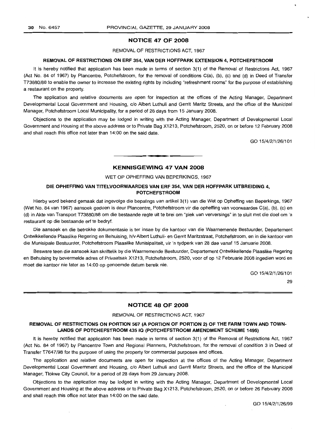# **NOTICE 47 OF 2008**

#### REMOVAL OF RESTRICTIONS ACT, 1967

#### **REMOVAL OF RESTRICTIONS ON ERF** 354, **VAN DER HOFFPARK EXTENSION 4, POTCHEFSTROOM**

It is hereby notified that application has been made in terms of section 3(1) of the Removal of Restrictions Act, 1967 (Act No. 84 of 1967) by Plancentre, Potchefstroom, for the removal of conditions C(a), (b), (c) and (d) in Deed of Transfer T73880/88 to enable the owner to increase the existing rights by including "refreshment rooms" for the purpose of establishing a restaurant on the property.

The application and relative documents are open for inspection at the offices of the Acting Manager, Department Developmental Local Government and Housing, c/o Albert Luthuli and Gerrit Maritz Streets, and the office of the Municipal Manager, Potchefstroom Local Municipality, for a period of 28 days from 15 January 2008.

Objections to the application may be lodged in writing with the Acting Manager, Department of Developmental Local Government and Housing at the above address or to Private Bag X1213, Potchefstroom, 2520, on or before 12 February 2008 and shall reach this office not later than 14:00 on the said date.

GO 15/4/2/1/26/101

# **KENNISGEWING 47 VAN 2008**

**• •**

#### WET OP OPHEFFING VAN BEPERKINGS, 1967

# **DIE OPHEFFING VAN TITELVOORWAARDES VAN ERF** 354, **VAN DER HOFFPARK UITBREIDING** 4, **POTCHEFSTROOM**

Hierby word bekend gemaak dat ingevolge die bepalings van artikel 3(1) van die Wet op Opheffing van Beperkings, 1967 (Wet No. 84 van 1967) aansoek gedoen is deur Plancentre, Potchefstroom vir die opheffing van voorwaardes C(a), (b), (c) en (d) in Akte van Transport T73880/88 om die bestaande regte uit te brei om "plek van verversings" in te sluit met die doel om 'n restaurant op die bestaande ert te bedryf.

Die aansoek en die betrokke dokumentasie is ter insae by die kantoor van die Waarnemende Bestuurder, Departement Ontwikkellende Plaaslike Regering en Behuising, h/v Albert Luthuli- en Gerrit Maritzstraat, Potchefstroom, en in die kantoor van die Munisipale Bestuurder, Potchefstroom Plaaslike Munisipaliteit, vir 'n tydperk van 28 dae vanaf 15 Januarie 2008.

Besware teen die aansoek kan skriftelik by die Waarnemende Bestuurder, Departement Ontwikkellende Plaaslike Regering en Behuising by bovermelde adres of Privaatsak X1213, Potchefstroom, 2520, voor of op 12 Februarie 2008 ingedien word en moet die kantoor nie later as 14:00 op genoemde datum bereik nie.

GO 15/4/2/1/26/101

29

# **NOTICE 48 OF 2008**

#### REMOVAL OF RESTRICTIONS ACT, 1967

# **REMOVAL OF RESTRICTIONS ON PORTION 567 (A PORTION OF PORTION 2) OF THE FARM TOWN AND TOWN-LANDS OF POTCHEFSTROOM 4351Q (POTCHEFSTROOM AMENDMENT SCHEME** 1495)

It is hereby notified that application has been made in terms of section 3(1) of the Removal of Restrictions Act, 1967 (Act No. 84 of 1967) by Plancentre Town and Regional Planners, Potchefstroom, for the removal of condition 3 in Deed of Transfer T7647/98 for the purpose of using the property for commercial purposes and offices.

The application and relative documents are open for inspection at the offices of the Acting Manager, Department Developmental Local Government and Housing, c/o Albert Luthuli and Gerrit Maritz Streets, and the office of the Municipal Manager, Tlokwe City Council, for a period of 28 days from 29 January 2008.

Objections to the application may be lodged in writing with the Acting Manager, Department of Developmental Local Government and Housing at the above address or to Private Bag X1213, Potchefstroom, 2520, on or before 26 February 2008 and shall reach this office not later than 14:00 on the said date.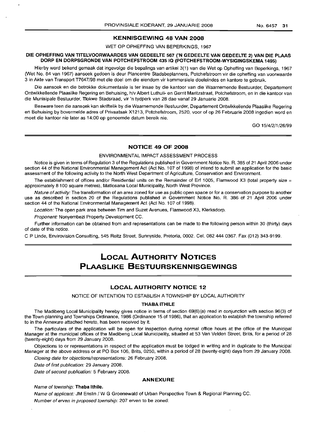# KENNISGEWING 48 VAN 2008

WET OP OPHEFFING VAN BEPERKINGS, 1967

# DIE OPHEFFING VAN TITELVOORWAARDES VAN GEDEELTE 567 ('N GEDEELTE VAN GEDEELTE 2) VAN DIE PLAAS DORP EN DORPSGRONDE VAN POTCHEFSTROOM 43510 (POTCHEFSTROOM-WYSIGINGSKEMA 1495)

Hierby word bekend gemaak dat ingevolge die bepalings van artikel 3(1) van die Wet op Opheffing van Beperkings, 1967 (Wet No. 84 van 1967) aansoek gedoen is deur Plancentre Stadsbeplanners, Potchefstroom vir die opheffing van voorwaarde 3 in Akte van Transport T7647/98 met die doel om die eiendom vir kommersiele doeleindes en kantore te gebruik.

Die aansoek en die betrokke dokumentasie is ter insae by die kantoor van die Waarnemende Bestuurder, Departement Ontwikkellende Plaaslike Regering en Behuising, h/v Albert Luthuli- en Gerrit Maritzstraat, Potchefstroom, en in die kantoor van die Munisipale Bestuurder, Tlokwe Stadsraad, vir 'n tydperk van 28 dae vanaf 29 Januarie 2008.

Besware teen die aansoek kan skriftelik by die Waarnemende Bestuurder, Departement Ontwikkellende Plaaslike Regering en Behuising by bovermelde adres of Privaatsak X1213, Potchefstroom, 2520, voor of op 26 Februarie 2008 ingedien word en moet die kantoor nie later as 14:00 op genoemde datum bereik nie.

GO 15/4/2/1/26/99

# NOTICE 49 OF 2008

# ENVIRONMENTAL IMPACT ASSESSMENT PROCESS

Notice is given in terms of Regulation 3 of the Regulations published in Government Notice No. R. 385 of 21 April 2006 under section 44 of the National Environmental Management Act (Act No. 107 of 1998) of intend to submit an application for the basic assessment of the following activity to the North West Department of Agriculture, Conservation and Environment.

The establishment of offices and/or Residential units on the Remainder of Erf 1005. Flamwood X3 (total property size  $=$ approximately 8 100 square metres), Matlosana Local Municipality, North West Province.

Nature of activity: The transformation of an area zoned for use as public open space or for a conservation purpose to another use as described in section 20 of the Regulations published in Government Notice No. R. 386 of 21 April 2006 under section 44 of the National Environmental Management Act (Act No. 107 of 1998).

Location: The open park area between Tim and Suzet Avenues, Flamwood X3, Klerksdorp.

Proponent: Nonyembezi Property Development CC.

Further information can be obtained from and representations can be made to the following person within 30 (thirty) days of date of this notice.

C P Linde, Envirovision Consulting, 545 Reitz Street, Sunnyside, Pretoria, 0002. Cel. 0824440367. Fax (012) 343-9199.

# **LOCAL AUTHORITY NOTICES PLAASLIKE BESTUURSKENNISGEWINGS**

# LOCAL AUTHORITY NOTICE 12

NOTICE OF INTENTION TO ESTABLISH ATOWNSHIP BY LOCAL AUTHORITY

#### THABA ITHILE

The Madibeng Local Municipality hereby gives notice in terms of section 69(6)(a) read in conjunction with section 96(3) of the Town-planning and Townships Ordinance, 1986 (Ordinance 15 of 1986), that an application to establish the township referred to in the Annexure attached hereto, has been received by it.

The particulars of the application will be open for inspection during normal office hours at the office of the Municipal Manager at the municipal offices of the Madibeng Local Municipality, situated at 53 Van Velden Street, Brits, for a period of 28 (twenty-eight) days from 29 January 2008.

Objections to or representations in respect of the application must be lodged in writing and in duplicate to the Municipal Manager at the above address or at PO Box 106, Brits, 0250, within a period of 28 (twenty-eight) days from 29 January 2008.

Closing date for objections/representations: 26 February 2008.

Date of first publication: 29 January 2008.

Date of second publication: 5 February 2008.

## ANNEXURE

Name of township: Thaba Ithile.

Name of applicant: JM Enslin / W G Groenewald of Urban Perspective Town & Regional Planning CC. Number of erven in proposed township: 207 erven to be zoned: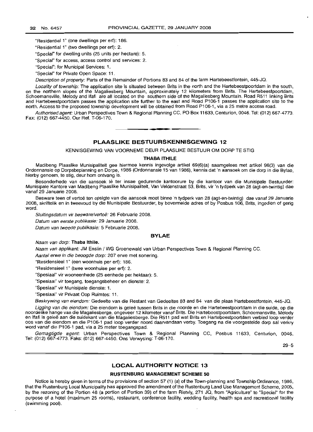"Residential 1" (one dwellings per ert): 186.

"Residential 1" (two dwellings per erf): 2.

"Special" for dwelling units (25 units per hectare): 5.

"Special" for access, access control and services: 2.

"Special": for Municipal Services: 1.

"Special" for Private Open Space: 11.

Description of property: Parts of the Remainder of Portions 83 and 84 of the farm Hartebeestfontein, 445-JQ.

Locality of township. The application site is situated between Brits in the north and the Hartebeestpoortdam in the south, on the northern slopes of the Magaliesberg Mountain, approximately 12 kilometers from Brits. The Hartebeestpoortdam, Schoemansville, Melody and Ifafi are all located on the southern side of the Magaliesberg Mountain. Road R511 linking Brits and Hartebeestpoortdam passes the application site further to the east and Road P106-1 passes the application site to the north. Access to the proposed township development will be obtained from Road P106-1, via a 25 metre access road.

Authorised agent: Urban Perspectives Town & Regional Planning CC, PO Box 11633, Centurion, 0046. Tel: (012) 667-4773. Fax: (012) 667-4450. Our Ref. T-06-170. .**- .**

**PLAASLIKE BESTUURSKENNISGEWING 12**

KENNISGEWING VAN VOORNEME DEUR PLAASLIKE BESTUUR OM DORP TE STIG

#### **THABA ITHILE**

Madibeng Plaaslike Munisipaliteit gee hiermee kennis ingevolge artikel 69(6)(a) saamgelees met artikel 96(3) van die Ordonnansie op Dorpsbeplanning en Dorpe, 1986 (Ordonnansie 15 van 1986), kennis dat 'n aansoek om die dorp in die Bylae, hierby genoem, te stig, deur hom ontvang is.

Besonderhede van die aansoek lê ter insae gedurende kantoorure by die kantoor van die Munisipale Bestuurder: Munisipale Kantore van Madibeng Plaaslike Munisipaliteit, Van Veldenstraat 53, Brits, vir 'n tydperk van 28 (agt-en-twintig) dae vanaf 29 Januarie 2008.

Besware teen of vertoe ten opsigte van die aansoek moet binne 'n tydperk van 28 (agt-en-twintig) dae vanaf 29 Januarie 2008, skriftelik en in tweevoud by die Munisipale Bestuurder, by bovermelde adres of by Posbus 106, Brits, ingedien of gerig word.

Sluitingsdatum vir besware/vertoë: 26 Februarie 2008.

Datum van eerste publikasie: 29 Januarie 2008.

Datum van tweede publikasie: 5 Februarie 2008.

#### **BYLAE**

Naam van dorp: **Thaba Ithile.**

Naam van applikant: JM Enslin / WG Groenewald van Urban Perspectives Town & Regional Planning CC.

Aantal erwe in die beoogde dorp: 207 erwe met sonering.

"Residensieel 1" (een woonhuis per ert): 186.

"Residensieel 1" (twee woonhuise per ert): 2.

"Spesiaal" vir wooneenhede (25 eenhede per hektaar): 5.

"Spesiaal" vir toegang, toegangsbeheer en dienste: 2.

"Spesiaal" vir Munisipale dienste: 1.

"Spesiaal" vir Privaat Oop Ruimtes: 11.

Beskrywing van eiendom: Gedeelte van die Restant van Gedeeltes 83 and 84 van die plaas Hartebeestfontein, 445-JQ.

Ligging van die eiendom: Die eiendom is geleë tussen Brits in die noorde en die Hartebeestpoortdam in die suide, op die noordelike hange van die Magaliesberge, ongeveer 12 kilometer vanaf Brits. Die Hartebeestpoortdam, Schoemansville, Melody en Ifafi is geleë aan die suidekant van die Magaliesberge. Die R511 pad wat Brits en Hartebeestpoortdam verbind loop verder oos van die eiendom en die P106-1 pad loop verder noord daarvandaan verby. Toegang na die voorgestelde dorp sal verkry word vanaf die P106-1 pad, via a 25 meter toegangspad.

Gemagtigde agent: Urban Perspectives Town & Regional Planning CC, Posbus 11633, Centurion, 0046. Tel: (012) 667-4773. Faks: (012) 667-4450. Ons Verwysing: T-06-170.

29-5

#### **LOCAL AUTHORITY NOTICE 13**

#### **RUSTENBURG MANAGEMENT SCHEME 50**

Notice is hereby given in terms of the provisions of section 57 (1) (a) of the Town-planning and Township Ordinance, 1986, that the Rustenburg Local Municipality has approved the amendment of the Hustenburg Land Use Management Scheme, 2005, by the rezoning of the Portion 48 (a portion of Portion 39) of the farm Rietvly, 271 JQ, from "Agriculture" to "Special" for the purpose of a hotel (maximum 25 rooms), restaurant, conference facility, wedding facility, health spa and recreational facility (swimming pool).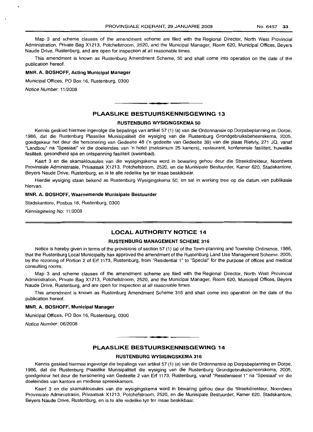Map 3 and scheme clauses of the amendment scheme are filed with the Regional Director, North West Provincial Administration, Private Bag X1213, Potchefstroom, 2520, and the Municipal Manager, Room 620, Municipal Offices, Beyers Naude Drive, Rustenburg, and are open for inspection at all reasonable times.

This amendment is known as Rustenburg Amendment Scheme, 50 and shall come into operation on the date of the publication hereof.

# MNR. A. BOSHOFF, Acting Municipal Manager

Municipal Offices, PO Box 16, Rustenburg, 0300

Notice Number: 11/2008

# PLAASLIKE BESTUURSKENNISGEWING 13

**.-**

#### RUSTENBURG WYSIGINGSKEMA 50

Kennis geskied hiermee ingevolge die bepalings van artikel 57 (1) (a) van die Ordonnansie op Dorpsbeplanning en Dorpe, 1986, dat die Rustenburg Plaaslike Munisipaliteit die wysiging van die Rustenburg Grondgebruiksbeheerskema, 2005, goedgekeur het deur die hersonering van Gedeelte 48 ('n gedeelte van Gedeelte 39) van die plaas Rietvly, 271 JQ, vanaf "Landbou" na "Spesiaal" vir die doeleindes van 'n hotel (maksimum 25 kamers), restaurant, konferensie fasiliteit, huweliks fasiliteit, gesondheid spa en ontspanning fasiliteit (swembad).

Kaart 3 en die skamaklousules van die wysigingskema word in bewaring gehou deur die Streekdirekteur, Noordwes Provinsiale Administrasie, Privaatsak X1213, Potchefstroom, 2520, en die Munisipale Bestuurder, Kamer 620, Stadskantore, Beyers Naude Drive, Rustenburg, en is te aile redelike tye ter insae beskikbaar.

Hierdie wysiging staan bekend as Rustenburg Wysigingskema 50, en sal in werking tree op die datum van publikasie hiervan.

#### MNR. A. BOSHOFF, Waarnemende Munisipale Bestuurder

Stadskantore, Posbus 16, Rustenburg, 0300

Kennisgewing No: 11/2008

# LOCAL AUTHORITY NOTICE 14

#### RUSTENBURG MANAGEMENT SCHEME 316

Notice is hereby given in terms of the provisions of section 57 (1) (a) of the Town-planning and Township Ordinance, 1986, that the Rustenburg Local Municipality has approved the amendment of the Rustenburg Land Use Management Scheme, 2005, by the rezoning of Portion 2 of Erf 1173, Rustenburg, from "Residential 1" to "Special" for the purpose of offices and medical consulting rooms.

Map 3 and scheme clauses of the amendment scheme are filed with the Regional Director, North West Provincial Administration, Private Bag X1213, Potchefstroom, 2520, and the Municipal Manager, Room 620, Municipal Offices, Beyers Naude Drive, Rustenburg, and are open for inspection at all reasonable times.

This amendment is known as Rustenburg Amendment Scheme 316 and shall come into operation on the date of the publication hereof.

#### MNR. A. BOSHOFF, Municipal Manager

Municipal Offices, PO Box 16, Rustenburg, 0300

Notice Number: 06/2008

# **•** PLAASLIKE BESTUURSKENNISGEWING 14

# RUSTENBURG WYSIGINGSKEMA 316

Kennis geskied hiermee ingevolge die bepalings van artikel 57 (1) (a) van die Ordonnansie op Dorpsbeplanning en Dorpe, 1986, dat die Rustenburg Plaaslike Munisipaliteit die wysiging van die Rustenburg Grondgebruiksbeheerskema, 2005, goedgekeur het deur die hersonering van Gedeelte 2 van Erf 1173, Rustenburg, vanaf "Residensieel 1" na "Spesiaal" vir die doeleindes van kantore en mediese spreekkamers.

Kaart 3 en die skamaklousules van die wysigingskema word in bewaring gehou deur die Streekdirekteur, Noordwes Provinsiale Administrasie, Privaatsak X1213, Potchefstroom, 2520, en die Munisipale Bestuurder, Kamer 620, Stadskantore, Beyers Naude Drive, Rustenburg, en is te aile redelike tye ter insae beskikbaar.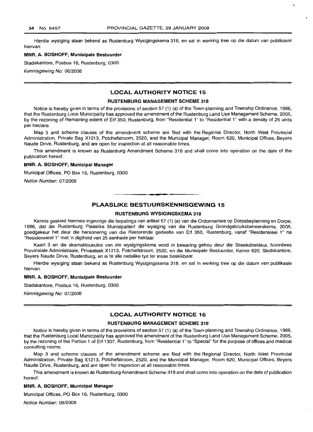Hierdie wysiging staan bekend as Rustenburg Wysigingskema 316, en sal in werking tree op die datum van publikasie hiervan.

#### **MNR. A. BOSHOFF, Munisipale Bestuurder**

Stadskantore, Posbus 16, Rustenburg, 0300

Kennisgewing No: 06/2008

# **LOCAL AUTHORITY NOTICE 15**

# **RUSTENBURG MANAGEMENT SCHEME 318**

Notice is hereby given in terms of the provisions of section 57 (1) (a) of the Town-planning and Township Ordinance, 1986, that the Rustenburg Local Municipality has approved the amendment of the Rustenburg Land Use Management Scheme, 2005, by the rezoning of Remaining extent of Erf 350, Rustenburg, from "Residential 1" to "Residential 1" with a density of 25 units per hectare.

Map 3 and scheme clauses of the amendment scheme are filed with the Regional Director, North West Provincial Administration, Private Bag X1213, Potchefstroom, 2520, and the Municipal Manager, Room 620, Municipal Offices, Beyers Naude Drive, Rustenburg, and are open for inspection at all reasonable times.

This amendment is known as Rustenburg Amendment Scheme 318 and shall come into operation on the date of the publication hereof.

#### **MNR. A. BOSHOFF, Municipal Manager**

Municipal Offices, PO Box 16, Rustenburg, 0300

Notice Number: 07/2008

# **PLAASLIKE BESTULIRSKENNISGEWING 15**

**-**

## **RUSTENBURG WYSIGINGSKEMA 318**

Kennis geskied hiermee ingevolge die bepalings van artikel 57 (1) (a) van die Ordonnansie op Dorpsbeplanning en Dorpe, 1986, dat die Rustenburg Plaaslike Munisipaliteit die wysiging van die Rustenburg Grondgebruiksbeheerskema, 2005, goedgekeur het deur die hersonering van die Resterende gedeelte van Erf 350, Rustenburg, vanaf "Residensieel 1" na "Residensieel 1" met 'n digtheid van 25 eenhede per hektaar.

Kaart 3 en die skamaklousules van die wysigingskema word in bewaring gehou deur die Streekdirekteur, Noordwes Provinsiale Administrasie, Privaatsak X1213, Potchefstroom, 2520, en die Munisipale Bestuurder, Kamer 620, Stadskantore, Beyers Naude Drive, Rustenburg, en is te aile redelike tye ter insae beskikbaar.

Hierdie wysiging staan bekend as Rustenburg Wysigingskema 318, en sal in werking tree op die datum van publikasie hiervan.

#### **MNR. A. BOSHOFF, Munisipale Bestuurder**

Stadskantore, Posbus 16, Rustenburg, 0300

Kennisgewing No: 07/2008

# **LOCAL AUTHORITY NOTICE 16**

#### **RUSTENBURG MANAGEMENT SCHEME 319**

Notice is hereby given in terms of the provisions of section 57 (1) (a) of the Town-planning and Township Ordinance, 1986, that the Rustenburg Local Municipality has approved the amendment of the Rustenburg Land Use Management Scheme, 2005, by the rezoning of the Portion 1 of Erf 1307, Rustenburg, from "Residential 1" to "Special" for the purpose of offices and medical consulting rooms.

Map 3 and scheme clauses of the amendment scheme are filed with the Regional Director, North West Provincial Administration, Private Bag X1213, Potchefstroom, 2520, and the Municipal Manager, Room 620, Municipal Offices, Beyers Naude Drive, Rustenburg, and are open for inspection at all reasonable times.

This amendment is known as Rustenburg Amendment Scheme 319 and shall come into operation on the date of publication hereof.

#### **MNR. A. BOSHOFF, Municipal Manager**

Municipal Offices, PO Box 16, Rustenburg, 0300

Notice Number: 08/2008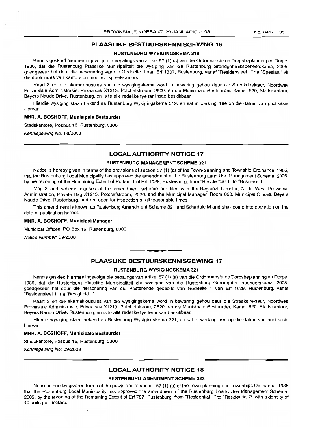# PLAASLIKE BESTUURSKENNISGEWING 16

#### RUSTENBURG WYSIGINGSKEMA 319

Kennis geskied hiermee ingevolge die bepalings van artikel 57 (1) (a) van die Ordonnansie op Dorpsbeplanning en Dorpe, 1986, dat die Rustenburg Plaaslike Munisipaliteit die wysiging van die Rustenburg Grondgebruiksbeheerskema, 2005, goedgekeur het deur die hersonering van die Gedeelte 1 van Erf 1307, Rustenburg, vanaf "Residensieel 1" na "Spesiaal" vir die doeleindes van kantore en mediese spreekkamers.

Kaart 3 en die skamaklousules van die wysigingskema word in bewaring gehou deur die Streekdirekteur, Noordwes Provinsiale Administrasie, Privaatsak X1213, Potchefstroom, 2520, en die Munisipale Bestuurder, Kamer 620, Stadskantore, Beyers Naude Drive, Rustenburg, en is te aile redelike tye ter insae beskikbaar.

Hierdie wysiging staan bekend as Rustenburg Wysigingskema 319, en sal in werking tree op die datum van publikasie hiervan.

#### MNR. A. BOSHOFF, Munisipale Bestuurder

Stadskantore, Posbus 16, Rustenburg, 0300

Kennisgewing No: 08/2008

### LOCAL AUTHORITY NOTICE 17

# RUSTENBURG MANAGEMENT SCHEME 321

Notice is hereby given in terms of the provisions of section 57 (1) (a) of the Town-planning and Township Ordinance, 1986, that the Rustenburg Local Municipality has approved the amendment of the Rustenburg Land Use Management Scheme, 2005, by the rezoning of the Remaining Extent of Portion 1 of Erf 1029, Rustenburg, from "Residential 1" to "Business 1".

Map 3 and scheme clauses of the amendment scheme are filed with the Regional Director, North West Provincial Administration, Private Bag X1213, Potchefstroom, 2520, and the Municipal Manager, Room 620, Municipal Offices, Beyers Naude Drive, Rustenburg, and are open for inspection at all reasonable times.

This amendment is known as Rustenburg Amendment Scheme 321 and Schedule M and shall come into operation on the date of publication hereof.

#### MNR. A. BOSHOFF, Municipal Manager

Municipal Offices, PO Box 16, Rustenburg, 0300

Notice Number: 09/2008

#### PLAASLIKE BESTUURSKENNISGEWING 17

**•**

#### RUSTENBURG WYSIGINGSKEMA 321

Kennis geskied hiermee ingevolge die bepalings van artikel 57 (1) (a) van die Ordonnansie op Dorpsbeplanning en Dorpe, 1986, dat die Rustenburg Plaaslike Munisipaliteit die wysiging van die Rustenburg Grondgebruiksbeheerskema, 2005, goedgekeur het deur die hersonering van die Resterende gedeelte van Gedeelte 1 van Erf 1029, Rustenburg, vanaf "Residensieel 1" na "Besigheid 1".

Kaart 3 en die skamaklousules van die wysigingskema word in bewaring gehou deur die Streekdirekteur, Noordwes Provinsiale Administrasie, Privaatsak X1213, Potchefstroom, 2520, en die Munisipale Bestuurder, Kamer 620, Stadskantore, Beyers Naude Drive, Rustenburg, en is te aile redelike tye ter insae beskikbaar.

Hierdie wysiging staan bekend as Rustenburg Wysigingskema 321, en sal in werking tree op die datum van publikasie hiervan.

#### MNR. A. BOSHOFF, Munisipale Bestuurder

Stadskantore, Posbus 16, Rustenburg, 0300

Kennisgewing No: 09/2008

#### LOCAL AUTHORITY NOTICE 18

#### RUSTENBURG AMENDMENT SCHEME 322

Notice is hereby given in terms of the provisions of section 57 (1) (a) of the Town-planning and Townships Ordinance, 1986 that the Rustenburg Local Municipality has approved the amendment of the Rustenburg Loand Use Management Scheme, 2005, by the rezoning of the Remaining Extent of Erf 787, Rustenburg, from "Residential 1" to "Residential 2" with a density of 40 units per hectare.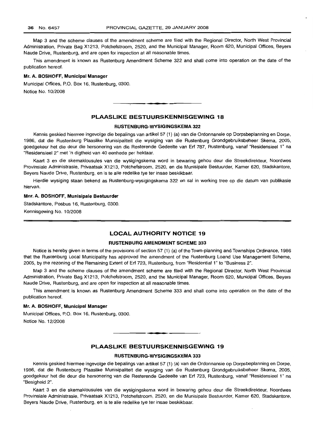Map 3 and the scheme clauses of the amendment scheme are filed with the Regional Director, North West Provincial Administration, Private Bag X1213, Potchefstroom, 2520, and the Municipal Manager, Room 620, Municipal Offices, Beyers Naude Drive, Rustenburg, and are open for inspection at all reasonable times.

This amendment is known as Rustenburg Amendment Scheme 322 and shall come into operation on the date of the publication hereof.

#### **Mr. A. BOSHOFF, Municipal Manager**

Municipal Offices, P.O. Box 16, Rustenburg, 0300. Notice No. 10/2008

# **PLAASLIKE BESTUURSKENNISGEWING 18**

**.-**

#### **RUSTENBLlRG-WYSIGINGSKEMA 322**

Kennis geskied hiermee ingevolge die bepalings van artikel 57 (1) (a) van die Ordonnansie op Dorpsbeplanning en Dorpe, 1986, dat die Rustenburg Plaaslike Munisipaliteit die wysiging van die Rustenburg Grondgebruiksbeheer Skema, 2005, goedgekeur het die deur die hersonering van die Resterende Gedeelte van Erf 787, Rustenburg, vanaf "Residensieel 1" na "Residensieel 2" met 'n digtheid van 40 eenhede per hektaar.

Kaart 3 en die skemaklousules van die wysigingskema word in bewaring gehou deur die Streekdirekteur, Noordwes Provinsiale Administrasie, Privaatsak X1213, Potchefstroom, 2520, en die Munisipale Bestuurder, Kamer 620, Stadskantore, Beyers Naude Drive, Rustenburg, en is te aile redelike tye ter insae beskikbaar.

Hierdie wysiging staan bekend as Rustenburg-wysigingskema 322 en sal in werking tree op die datum van publikasie hiervan.

#### **Mnr. A. BOSHOFF, Munisipale Bestuurder**

Stadskantore, Posbus 16, Rustenburg, 0300. Kennisgewing No. 10/2008

# **LOCAL AUTHORITY NOTICE 19**

#### **RUSTENBURG AMENDMENT SCHEME 333**

Notice is hereby given in terms of the provisions of section 57 (1) (a) of the Town-planning and Townships Ordinance, 1986 that the Rustenburg Local Municipality has approved the amendment of the Rustenburg Loand Use Management Scheme, 2005, by the rezoning of the Remaining Extent of Erf 723, Rustenburg, from "Residential 1" to "Business 2".

Map 3 and the scheme clauses of the amendment scheme are filed with the Regional Director, North West Provincial Administration, Private Bag X1213, Potchefstroom, 2520, and the Municipal Manager, Room 620, Municipal Offices, Beyers Naude Drive, Rustenburg, and are open for inspection at all reasonable times.

This amendment is known as Rustenburg Amendment Scheme 333 and shall come into operation on the date of the publication hereof.

### **Mr. A.** BOSHOFF, **Municipal Manager**

Municipal Offices, P.O. Box 16, Rustenburg, 0300. Notice No. 12/2008

# **PLAASLIKE BESTUURSKENNISGEWING 19**

. ,

# **RUSTENBURG-WYSIGINGSKEMA 333**

Kennis geskied hiermee ingevolge die bepalings van artikel 57 (1) (a) van die Ordonnansie op Dorpsbeplanning en Dorpe, 1986, dat die Rustenburg Plaaslike Munisipaliteit die wysiging van die Rustenburg Grondgebruiksbeheer Skema, 2005, goedgekeur het die deur die hersonering van die Resterende Gedeelte van Erf 723, Rustenburg, vanaf "Residensieel 1" na "Besigheid 2".

Kaart 3 en die skemaklousules van die wysigingskema word in bewaring gehou deur die Streekdirekteur, Noordwes Provinsiale Administrasie, Privaatsak X1213, Potchefstroom, 2520, en die Munisipale Bestuurder, Kamer 620, Stadskantore, Beyers Naude Drive, Rustenburg, en is te aile redelike tye ter insae beskikbaar.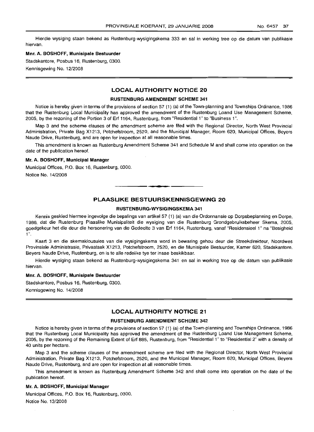Hierdie wysiging staan bekend as Rustenburg-wysigingskema 333 en sal in werking tree op die datum van publikasie hiervan.

# Mm. A. BOSHOFF, Munisipale Bestuurder

Stadskantore, Posbus 16, Rustenburg, 0300. Kennisgewing No. 12/2008

# LOCAL AUTHORITY NOTICE 20

#### RUSTENBURG AMENDMENT SCHEME 341

Notice is hereby given in terms of the provisions of section 57 (1) (a) of the Town-planning and Townships Ordinance, 1986 that the Rustenburg Local Municipality has approved the amendment of the Rustenburg Loand Use Management Scheme, 2005, by the rezoning of the Portion 3 of Erf 1164, Rustenburg, from "Residential 1" to "Business 1''.

Map 3 and the scheme clauses of the amendment scheme are filed with the Regional Director, North West Provincial Administration, Private Bag X1213, Potchefstroom, 2520, and the Municipal Manager, Room 620, Municipal Offices, Beyers Naude Drive, Rustenburg, and are open for inspection at all reasonable times.

This amendment is known as Rustenburg Amendment Scheme 341 and Schedule M and shall come into operation on the date of the publication hereof.

#### Mr. A. BOSHOFF, Municipal Manager

Municipal Offices, P.O. Box 16, Rustenburg, 0300.

Notice No. 14/2008

# PLAASLIKE BESTUURSKENNISGEWING 20

**-**

#### RUSTENBURG-WYSIGINGSKEMA 341

Kennis geskied hiermee ingevolge die bepalings van artikel 57 (1) (a) van die Ordonnansie op Dorpsbeplanning en Dorpe, 1986, dat die Rustenburg Plaaslike Munisipaliteit die wysiging van die Rustenburg Grondgebruiksbeheer Skema, 2005, goedgekeur het die deur die hersonering van die Gedeelte 3 van Erf 1164, Rustenburg, vanaf "Residensieel 1" na "Besigheid 1".

Kaart 3 en die skemaklousules van die wysigingskema word in bewaring gehou deur die Streekdirekteur, Noordwes Provinsiale Administrasie, Privaatsak X1213, Potchefstroom, 2520, en die Munisipale Bestuurder, Kamer 620, Stadskantore, Beyers Naude Drive, Rustenburg, en is te aile redelike tye ter insae beskikbaar.

Hierdie wysiging staan bekend as Rustenburg-wysigingskema 341 en sal in werking tree op die datum van publikasie hiervan.

#### Mm. A. BOSHOFF, Munisipale Bestuurder

Stadskantore, Posbus 16, Rustenburg, 0300.

Kennisgewing No. 14/2008

# LOCAL AUTHORITY NOTICE 21

#### RUSTENBURG AMENDMENT SCHEME 342

Notice is hereby given in terms of the provisions of section 57 (1) (a) of the Town-planning and Townships Ordinance, 1986 that the Rustenburg Local Municipality has approved the amendment of the Rustenburg Loand Use Management Scheme, 2005, by the rezoning of the Remaining Extent of Erf 885, Rustenburg, from "Residential 1" to "Residential 2" with a density of 40 units per hectare.

Map 3 and the scheme clauses of the amendment scheme are filed with the Regional Director, North West Provincial Administration, Private Bag X1213, Potchefstroom, 2520, and the Municipal Manager, Room 620, Municipal Offices, Beyers Naude Drive, Rustenburg, and are open for inspection at all reasonable times.

This amendment is known as Rustenburg Amendment Scheme 342 and shall come into operation on the date of the publication hereof.

#### Mr. A. BOSHOFF, Municipal Manager

Municipal Offices, P.O. Box 16, Rustenburg, 0300. Notice No. 13/2008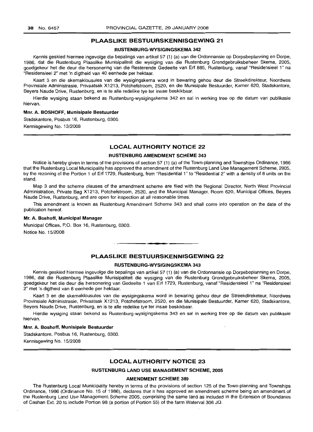# **PLAASLIKE BESTUlIRSKENNISGEWING 21**

## **RUSTENBURG-WYSIGINGSKEMA 342**

Kennis geskied hiermee ingevolge die bepalings van artikel 57 (1) (a) van die Ordonnansie op Dorpsbeplanning en Dorpe, 1986, dat die Rustenburg Plaaslike Munisipaliteit die wysiging van die Rustenburg Grondgebruiksbeheer Skema, 2005, goedgekeur het die deur die hersonering van die Resterende Gedeelte van Erf 885, Rustenburg, vanaf "Residensieel 1" na "Residensieel 2" met 'n digtheid van 40 eenhede per hektaar.

Kaart 3 en die skemaklousules van die wysigingskema word in bewaring gehou deur die Streekdirekteur, Noordwes Provinsiale Administrasie, Privaatsak X1213, Potchefstroom, 2520, en die Munisipale Bestuurder, Kamer 620, Stadskantore, Beyers Naude Drive, Rustenburg, en is te aile redelike tye ter insae beskikbaar.

Hierdie wysiging staan bekend as Rustenburg-wysigingskema 342 en sal in werking tree op die datum van publikasie hiervan.

#### **Mm. A. BOSHOFF, Munisipale Bestuurder**

Stadskantore, Posbus 16, Rustenburg, 0300.

Kennisgewing No. 13/2008

# **LOCAL AUTHORITY NOTICE 22**

#### **RUSTENBURG AMENDMENT SCHEME 343**

Notice is hereby given in terms of the provisions of section 57 (1) (a) of the Town-planning and Townships Ordinance, 1986 that the Rustenburg Local Municipality has approved the amendment of the Rustenburg Land Use Management Scheme, 2005, by the rezoning of the Portion 1 of Erf 1729, Rustenburg, from "Residential 1" to "Residential 2" with a density of 8 units on the stand.

Map 3 and the scheme clauses of the amendment scheme are filed with the Regional Director, North West Provincial Administration, Private Bag X1213, Potchefstroom, 2520, and the Municipal Manager, Room 620, Municipal Offices, Beyers Naude Drive, Rustenburg, and are open for inspection at all reasonable times.

This amendment is known as Rustenburg Amendment Scheme 343 and shall come into operation on the date of the publication hereof.

#### **Mr. A. Boshoff, Municipal Manager**

Municipal Offices, P.O. Box 16, Rustenburg, 0300.

Notice No. 15/2008

# **PLAASLIKE BESTUURSKENNISGEWING 22**

**- .**

#### **RUSTENBURG-WYSIGINGSKEMA 343**

Kennis geskied hiermee ingevolge die bepalings van artikel 57 (1) (a) van die Ordonnansie op Dorpsbeplanning en Dorpe, 1986, dat die Rustenburg Plaaslike Munisipaliteit die wysiging van die Rustenburg Grondgebruiksbeheer Skema, 2005, goedgekeur het die deur die hersonering van Gedeelte 1 van Erf 1729, Rustenburg, vanaf "Residensieel 1" na "Residensieel 2" met 'n digtheid van 8 eenhede per hektaar.

Kaart 3 en die skemaklousules van die wysigingskema word in bewaring gehou deur die Streekdireketeur, Noordwes Provinsiale Administrasie, Privaatsak X1213, Potchefstroom, 2520, en die Munisipale Bestuurder, Kamer 620, Stadskantore, Beyers Naude Drive, Rustenburg, en is te aile redelike tye ter insae beskikbaar.

Hierdie wysiging staan bekend as Rustenburg-wysigingskema 343 en sal in werking tree op die datum van publikasie hiervan.

#### **Mnr. A. Boshoff, Munisipale Bestuurder**

Stadskantore, Posbus 16, Rustenburg, 0300. Kennisgewing No. 15/2008

# **LOCAL AUTHORITY NOTICE 23**

# **RUSTENBURG LAND USE MANAGEMENT SCHEME, 2005**

#### **AMENDMENT SCHEME 389**

The Rustenburg Local Municipality hereby in terms of the provisions of section 125 of the Town-planning and Townships Ordinance, 1986 (Ordinance No. 15 of 1986), declares that it has approved an amendment scheme being an amendment of the Rustenburg Land Use Management Scheme 2005, comprising the same land as included in the Extension of Boundaries of Cashan Ext. 20 to include Portion 98 (a portion of Portion 55) of the farm Waterval 306 JQ.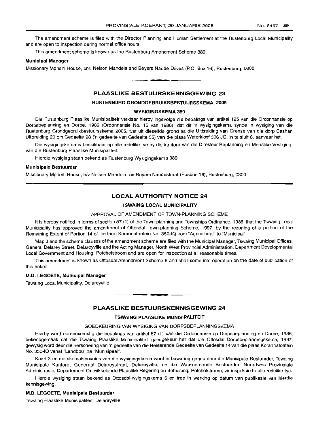The amendment scheme is filed with the Director Planning and Human Settlement at the Rustenburg Local Municipality and are open to inspection during normal office hours.

This amendment scheme is known as the Rustenburg Amendment Scheme 389.

# **Municipal Manager**

Missionary Mpheni House, em. Nelson Mandela and Beyers Naude Drives (P.O. Box 16), Rustenburg, 0300

# **PLAASLIKE BESTUURSKENNISGEWING 23**

**• •**

#### **RUSTENBURG GRONDGEBRUIKSBESTUURSSKEMA, 2005**

#### **WYSIGINGSKEMA 389**

Die Rustenburg Plaaslike Munisipaliteit verklaar hierby ingevolge die bepalings van artikel 125 van die Ordonnansie op Dorpsbeplanning en Dorpe, 1986 (Ordonnansie No. 15 van 1986), dat dit 'n wysigingskema synde 'n wysiging van die Rustenburg Grondgebruikbestuursskema 2005, wat uit dieselfde grond as die Uitbreiding van Grense van die dorp Cashan Uitbreiding 20 om Gedeelte 98 ('n gedeelte van Gedeelte 55) van die plaas Waterkloof 306 JQ, in te sluit 6, aanvaar het.

Die wysigingskema is beskikbaar op aile redelike tye by die kantore van die Direkteur Beplanning en Menslike Vestiging, van die Rustenburg Plaaslike Munisipaliteit.

Hierdie wysiging staan bekend as Rustenburg Wysigingskema 389.

#### **Munisipale Bestuurder**

Missionary Mpheni House, h/v Nelson Mandela- en Beyers Naudestraat (Posbus 16), Rustenburg, 0300

# **LOCAL AUTHORITY NOTICE 24**

#### **TSWAING LOCAL MUNICIPALITY**

#### APPROVAL OF AMENDMENT OF TOWN-PLANNING SCHEME

It is hereby notified in terms of section 57 (1) of the Town-planning and Townships Ordinance, 1986, that the Tswaing Local Municipality has approved the amendment of Ottosdal Town-planning Scheme, 1997, by the rezoning of a portion of the Remaining Extent of Portion 14 of the farm Korannafontein No. 350-IQ from "Agricultural" to "Municipal".

Map 3 and the scheme clauses of the amendment scheme are filed with the Municipal Manager, Tswaing Municipal Offices, General Delarey Street, Delareyville and the Acting Manager, North West Provincial Administration, Department Developmental Local Government and Housing, Potchefstroom and are open for inspection at all reasonable times.

This amendment is known as Ottosdal Amendment Scheme 6 and shall come into operation on the date of publication of this notice.

#### **M.D. LEGOETE, Municipal Manager**

Tswaing Local Municipality, Delareyville

#### **PLAASLIKE BESTUURSKENNISGEWING 24**

**••**

#### **TSWAING PLAASLIKE MUNISIPALITEIT**

# GOEDKEURING VAN WYSIGING VAN DORPSBEPLANNINGSKEMA

Hierby word ooreenkomstig die bepalings van artikel 57 (1) van die Ordonnansie op Dorpsbeplanning en Dorpe, 1986, bekendgemaak dat die Tswaing Plaaslike Munisipaliteit goedgekeur het dat die Ottosdal Dorpsbeplanningskema, 1997, gewysig word deur die hersonering van 'n gedeelte van die Resterende Gedeelte van Gedeelte 14 van die plaas Korannafontein No. 350-10 vanaf "Landbou" na "Munisipaal".

Kaart 3 en die skemaklousules van die wysigingskema word in bewaring gehou deur die Munisipale Bestuurder, Tswaing Munisipale Kantore, Generaal Delareystraat, Delareyville, en die Waarnemende Bestuurder, Noordwes Provinsiale Administrasie, Departement Ontwikkelende Plaaslike Regering en Behuising, Potchefstroom, vir inspeksie te aile redelike tye.

Hierdie wysiging staan bekend as Ottosdal-wyigingskema 6 en tree in werking op datum van publikasie van hierdie kennisgewing.

#### **M.D. LEGOETE, Munisipale Bestuurder**

Tswaing Plaaslike Munisipaliteit, Delareyville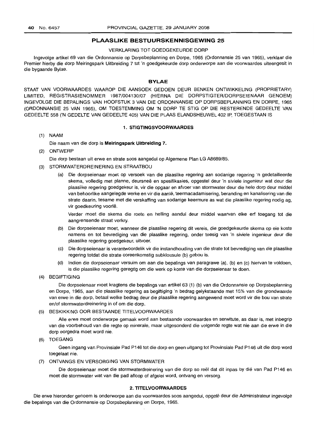#### **PLAASLIKE BESTUURSKENNISGEWING 25**

#### VERKLARING TOT GOEDGEKEURDE DORP

Ingevolge artikel 69 van die Ordonnansie op Dorpsbeplanning en Dorpe, 1965 (Ordonnansie 25 van 1965), verklaar die Premier hierby die dorp Meiringspark Uitbreiding 7 tot 'n goedgekeurde dorp onderworpe aan die voorwaardes uiteengesit in die bygaande Bylae.

#### **BYLAE**

STAAT VAN VOORWAARDES WAAROP DIE AANSOEK GEDOEN DEUR BENKEN ONTWIKKELING (PROPRIETARy) LIMITED, REGISTRASIENOMMER 1987/004130/07 (HIERNA DIE DORPSTIGTER/DORPSEIENAAR GENOEM) INGEVOLGE DIE BEPALINGS VAN HOOFSTUK 3 VAN DIE ORDONNANSIE OP DORPSBEPLANNING EN DORPE, 1965 (ORDONNANSIE 25 VAN 1965), OM TOESTEMMING OM 'N DORP TE STIG OP DIE RESTERENDE GEDEELTE VAN GEDEELTE 558 ('N GEDELTE VAN GEDEELTE 405) VAN DIE PLAAS ELANDSHEUWEL 402 IP, TOEGESTAAN IS

# **1. STIGTINGSVOORWAARDES**

(1) NAAM

Die naam van die dorp is **Meiringspark Uitbreiding 7.**

(2) ONTWERP

Die dorp bestaan uit erwe en strate soos aangedui op Aigemene Plan LG A8689/85.

- (3) STORMWATERDREINERING EN STRAATBOU
	- (a) Die dorpseienaar moet op versoek van die plaaslike regering aan sodanige regering 'n gedetailleerde skema, volledig met planne, deursneë en spesifikasies, opgestel deur 'n siviele ingenieur wat deur die plaaslike regering goedgekeur is, vir die opgaar en afvoer van stormwater deur die hele dorp deur middel van behoorlike aangelegde werke en vir die aanle, teermacadamisering, beranding en kanalisering van die strate daarin, tesame met die verskaffing van sodanige keermure as wat die plaaslike regering nodig ag, vir goedkeuring voorlê.

Verder moet die skema die roete en helling aandui deur middel waarvan elke erf toegang tot die aangrensende straat verkry.

- (b) Die dorpseienaar moet, wanneer die plaaslike regering dit vereis, die goedgekeurde skema op eie koste namens en tot bevrediging van die plaaslike regering, onder toesig van 'n siviele ingenieur deur die plaaslike regering goedgekeur, uitvoer.
- (c) Die dorpseienaar is verantwoordelik vir die instandhouding van die strate tot bevrediging van die plaaslike regering totdat die strate ooreenkomstig subklousule (b) gebou is.
- (d) Indien die dorpseienaar versuim om aan die bepalings van paragrawe (a), (b) en (c) hiervan te voldoen, is die plaaslike regering geregtig om die werk op koste van die dorpseienaar te doen.
- (4) BEGIFTIGING

Die dorpseienaar moet kragtens die bepalings van artikel 63 (1) (b) van die Ordonnansie op Dorpsbeplanning en Dorpe, 1965, aan die plaaslike regering as begiftiging 'n bedrag gelykstaande met 15% van die grondwaarde van erwe in die dorp, betaal welke bedrag deur die plaaslike regering aangewend moet word vir die bou van strate en/of stormwaterdreinering in of om die dorp.

# (5) BESKIKKING OOR BESTAANDE TITELVOORWAARDES

Aile erwe moet onderworpe gemaak word aan bestaande voorwaardes en serwitute, as daar is, met inbegrip van die voorbehoud van die regte op minerale, maar uitgesonderd die volgende regte wat nie aan die erwe in die dorp oorgedra moet word nie.

(6) TOEGANG

Geen ingang van Provinsiale Pad P146 tot die dorp en geen uitgang tot Provinsiale Pad P146 uit die dorp word toegelaat nie.

(7) ONTVANGS EN VERSORGING VAN STORMWATER

Die dorpseienaar moet die stormwaterdreinering van die dorp so reel dat dit inpas by die van Pad P146 en moet die stormwater wat van die pad afloop of afgelei word, ontvang en versorg.

#### **2. TITELVOORWAARDES**

Die erwe hieronder genoem is onderworpe aan die voorwaardes soos aangedui, opqele deur die Administrateur ingevolge die bepalings van die Ordonnansie op Dorpsbeplanning en Dorpe, 1965.